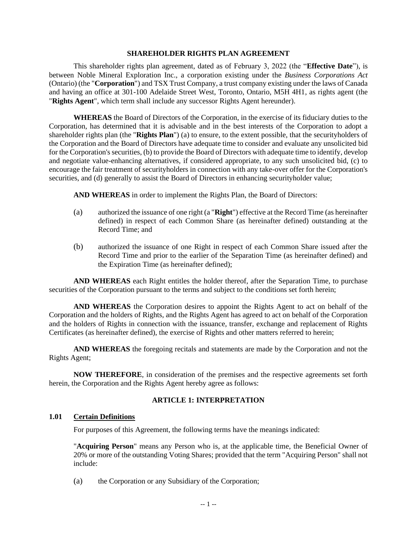#### **SHAREHOLDER RIGHTS PLAN AGREEMENT**

This shareholder rights plan agreement, dated as of February 3, 2022 (the "**Effective Date**"), is between Noble Mineral Exploration Inc., a corporation existing under the *Business Corporations Act* (Ontario) (the "**Corporation**") and TSX Trust Company, a trust company existing under the laws of Canada and having an office at 301-100 Adelaide Street West, Toronto, Ontario, M5H 4H1, as rights agent (the "**Rights Agent**", which term shall include any successor Rights Agent hereunder).

**WHEREAS** the Board of Directors of the Corporation, in the exercise of its fiduciary duties to the Corporation, has determined that it is advisable and in the best interests of the Corporation to adopt a shareholder rights plan (the "**Rights Plan**") (a) to ensure, to the extent possible, that the securityholders of the Corporation and the Board of Directors have adequate time to consider and evaluate any unsolicited bid for the Corporation's securities, (b) to provide the Board of Directors with adequate time to identify, develop and negotiate value-enhancing alternatives, if considered appropriate, to any such unsolicited bid, (c) to encourage the fair treatment of securityholders in connection with any take-over offer for the Corporation's securities, and (d) generally to assist the Board of Directors in enhancing securityholder value;

**AND WHEREAS** in order to implement the Rights Plan, the Board of Directors:

- (a) authorized the issuance of one right (a "**Right**") effective at the Record Time (as hereinafter defined) in respect of each Common Share (as hereinafter defined) outstanding at the Record Time; and
- (b) authorized the issuance of one Right in respect of each Common Share issued after the Record Time and prior to the earlier of the Separation Time (as hereinafter defined) and the Expiration Time (as hereinafter defined);

**AND WHEREAS** each Right entitles the holder thereof, after the Separation Time, to purchase securities of the Corporation pursuant to the terms and subject to the conditions set forth herein;

**AND WHEREAS** the Corporation desires to appoint the Rights Agent to act on behalf of the Corporation and the holders of Rights, and the Rights Agent has agreed to act on behalf of the Corporation and the holders of Rights in connection with the issuance, transfer, exchange and replacement of Rights Certificates (as hereinafter defined), the exercise of Rights and other matters referred to herein;

**AND WHEREAS** the foregoing recitals and statements are made by the Corporation and not the Rights Agent;

**NOW THEREFORE**, in consideration of the premises and the respective agreements set forth herein, the Corporation and the Rights Agent hereby agree as follows:

### **ARTICLE 1: INTERPRETATION**

### **1.01 Certain Definitions**

For purposes of this Agreement, the following terms have the meanings indicated:

"**Acquiring Person**" means any Person who is, at the applicable time, the Beneficial Owner of 20% or more of the outstanding Voting Shares; provided that the term "Acquiring Person" shall not include:

(a) the Corporation or any Subsidiary of the Corporation;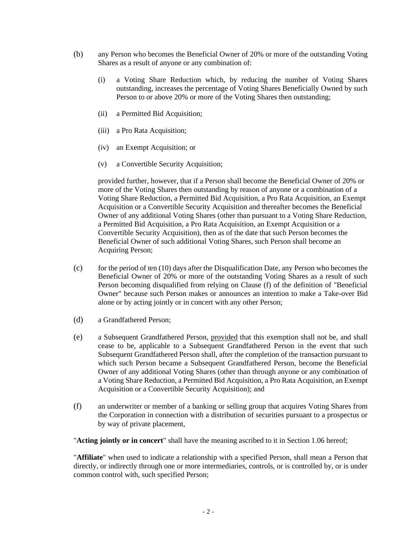- (b) any Person who becomes the Beneficial Owner of 20% or more of the outstanding Voting Shares as a result of anyone or any combination of:
	- (i) a Voting Share Reduction which, by reducing the number of Voting Shares outstanding, increases the percentage of Voting Shares Beneficially Owned by such Person to or above 20% or more of the Voting Shares then outstanding;
	- (ii) a Permitted Bid Acquisition;
	- (iii) a Pro Rata Acquisition;
	- (iv) an Exempt Acquisition; or
	- (v) a Convertible Security Acquisition;

provided further, however, that if a Person shall become the Beneficial Owner of 20% or more of the Voting Shares then outstanding by reason of anyone or a combination of a Voting Share Reduction, a Permitted Bid Acquisition, a Pro Rata Acquisition, an Exempt Acquisition or a Convertible Security Acquisition and thereafter becomes the Beneficial Owner of any additional Voting Shares (other than pursuant to a Voting Share Reduction, a Permitted Bid Acquisition, a Pro Rata Acquisition, an Exempt Acquisition or a Convertible Security Acquisition), then as of the date that such Person becomes the Beneficial Owner of such additional Voting Shares, such Person shall become an Acquiring Person;

- $(c)$  for the period of ten  $(10)$  days after the Disqualification Date, any Person who becomes the Beneficial Owner of 20% or more of the outstanding Voting Shares as a result of such Person becoming disqualified from relying on Clause (f) of the definition of "Beneficial Owner" because such Person makes or announces an intention to make a Take-over Bid alone or by acting jointly or in concert with any other Person;
- (d) a Grandfathered Person;
- (e) a Subsequent Grandfathered Person, provided that this exemption shall not be, and shall cease to be, applicable to a Subsequent Grandfathered Person in the event that such Subsequent Grandfathered Person shall, after the completion of the transaction pursuant to which such Person became a Subsequent Grandfathered Person, become the Beneficial Owner of any additional Voting Shares (other than through anyone or any combination of a Voting Share Reduction, a Permitted Bid Acquisition, a Pro Rata Acquisition, an Exempt Acquisition or a Convertible Security Acquisition); and
- (f) an underwriter or member of a banking or selling group that acquires Voting Shares from the Corporation in connection with a distribution of securities pursuant to a prospectus or by way of private placement,

"**Acting jointly or in concert**" shall have the meaning ascribed to it in Section 1.06 hereof;

"**Affiliate**" when used to indicate a relationship with a specified Person, shall mean a Person that directly, or indirectly through one or more intermediaries, controls, or is controlled by, or is under common control with, such specified Person;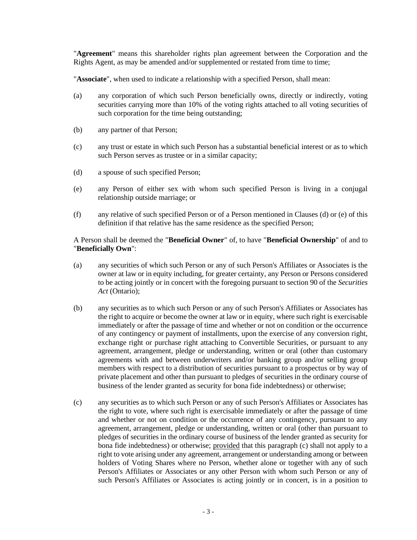"**Agreement**" means this shareholder rights plan agreement between the Corporation and the Rights Agent, as may be amended and/or supplemented or restated from time to time;

"**Associate**", when used to indicate a relationship with a specified Person, shall mean:

- (a) any corporation of which such Person beneficially owns, directly or indirectly, voting securities carrying more than 10% of the voting rights attached to all voting securities of such corporation for the time being outstanding;
- (b) any partner of that Person;
- (c) any trust or estate in which such Person has a substantial beneficial interest or as to which such Person serves as trustee or in a similar capacity;
- (d) a spouse of such specified Person;
- (e) any Person of either sex with whom such specified Person is living in a conjugal relationship outside marriage; or
- (f) any relative of such specified Person or of a Person mentioned in Clauses (d) or (e) of this definition if that relative has the same residence as the specified Person;

#### A Person shall be deemed the "**Beneficial Owner**" of, to have "**Beneficial Ownership**" of and to "**Beneficially Own**":

- (a) any securities of which such Person or any of such Person's Affiliates or Associates is the owner at law or in equity including, for greater certainty, any Person or Persons considered to be acting jointly or in concert with the foregoing pursuant to section 90 of the *Securities Act* (Ontario);
- (b) any securities as to which such Person or any of such Person's Affiliates or Associates has the right to acquire or become the owner at law or in equity, where such right is exercisable immediately or after the passage of time and whether or not on condition or the occurrence of any contingency or payment of installments, upon the exercise of any conversion right, exchange right or purchase right attaching to Convertible Securities, or pursuant to any agreement, arrangement, pledge or understanding, written or oral (other than customary agreements with and between underwriters and/or banking group and/or selling group members with respect to a distribution of securities pursuant to a prospectus or by way of private placement and other than pursuant to pledges of securities in the ordinary course of business of the lender granted as security for bona fide indebtedness) or otherwise;
- (c) any securities as to which such Person or any of such Person's Affiliates or Associates has the right to vote, where such right is exercisable immediately or after the passage of time and whether or not on condition or the occurrence of any contingency, pursuant to any agreement, arrangement, pledge or understanding, written or oral (other than pursuant to pledges of securities in the ordinary course of business of the lender granted as security for bona fide indebtedness) or otherwise; provided that this paragraph (c) shall not apply to a right to vote arising under any agreement, arrangement or understanding among or between holders of Voting Shares where no Person, whether alone or together with any of such Person's Affiliates or Associates or any other Person with whom such Person or any of such Person's Affiliates or Associates is acting jointly or in concert, is in a position to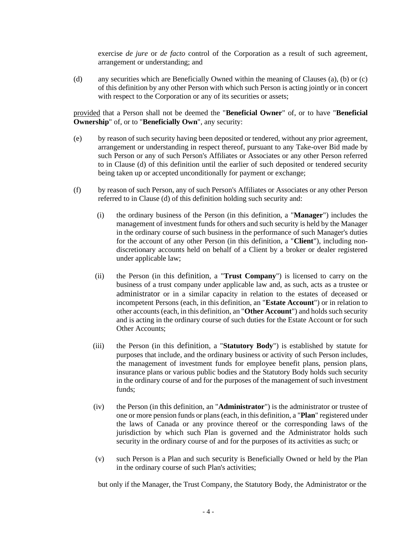exercise *de jure* or *de facto* control of the Corporation as a result of such agreement, arrangement or understanding; and

(d) any securities which are Beneficially Owned within the meaning of Clauses (a), (b) or (c) of this definition by any other Person with which such Person is acting jointly or in concert with respect to the Corporation or any of its securities or assets;

provided that a Person shall not be deemed the "**Beneficial Owner**" of, or to have "**Beneficial Ownership**" of, or to "**Beneficially Own**", any security:

- (e) by reason of such security having been deposited or tendered, without any prior agreement, arrangement or understanding in respect thereof, pursuant to any Take-over Bid made by such Person or any of such Person's Affiliates or Associates or any other Person referred to in Clause (d) of this definition until the earlier of such deposited or tendered security being taken up or accepted unconditionally for payment or exchange;
- (f) by reason of such Person, any of such Person's Affiliates or Associates or any other Person referred to in Clause (d) of this definition holding such security and:
	- (i) the ordinary business of the Person (in this definition, a "**Manager**") includes the management of investment funds for others and such security is held by the Manager in the ordinary course of such business in the performance of such Manager's duties for the account of any other Person (in this definition, a "**Client**"), including nondiscretionary accounts held on behalf of a Client by a broker or dealer registered under applicable law;
	- (ii) the Person (in this definition, a "**Trust Company**") is licensed to carry on the business of a trust company under applicable law and, as such, acts as a trustee or administrator or in a similar capacity in relation to the estates of deceased or incompetent Persons (each, in this definition, an "**Estate Account**") or in relation to other accounts (each, in this definition, an "**Other Account**") and holds such security and is acting in the ordinary course of such duties for the Estate Account or for such Other Accounts;
	- (iii) the Person (in this definition, a "**Statutory Body**") is established by statute for purposes that include, and the ordinary business or activity of such Person includes, the management of investment funds for employee benefit plans, pension plans, insurance plans or various public bodies and the Statutory Body holds such security in the ordinary course of and for the purposes of the management of such investment funds;
	- (iv) the Person (in this definition, an "**Administrator**") is the administrator or trustee of one or more pension funds or plans (each, in this definition, a "**Plan**" registered under the laws of Canada or any province thereof or the corresponding laws of the jurisdiction by which such Plan is governed and the Administrator holds such security in the ordinary course of and for the purposes of its activities as such; or
	- (v) such Person is a Plan and such security is Beneficially Owned or held by the Plan in the ordinary course of such Plan's activities;

but only if the Manager, the Trust Company, the Statutory Body, the Administrator or the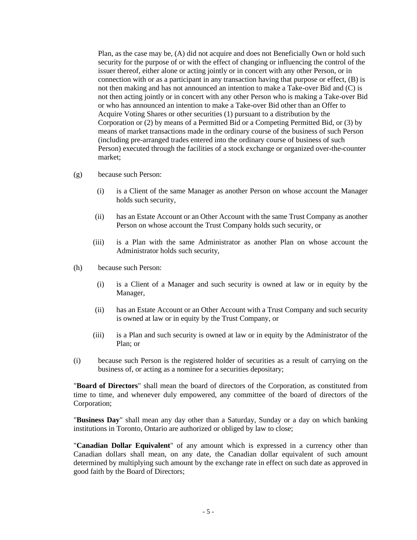Plan, as the case may be, (A) did not acquire and does not Beneficially Own or hold such security for the purpose of or with the effect of changing or influencing the control of the issuer thereof, either alone or acting jointly or in concert with any other Person, or in connection with or as a participant in any transaction having that purpose or effect,  $(B)$  is not then making and has not announced an intention to make a Take-over Bid and (C) is not then acting jointly or in concert with any other Person who is making a Take-over Bid or who has announced an intention to make a Take-over Bid other than an Offer to Acquire Voting Shares or other securities (1) pursuant to a distribution by the Corporation or (2) by means of a Permitted Bid or a Competing Permitted Bid, or (3) by means of market transactions made in the ordinary course of the business of such Person (including pre-arranged trades entered into the ordinary course of business of such Person) executed through the facilities of a stock exchange or organized over-the-counter market;

- (g) because such Person:
	- (i) is a Client of the same Manager as another Person on whose account the Manager holds such security,
	- (ii) has an Estate Account or an Other Account with the same Trust Company as another Person on whose account the Trust Company holds such security, or
	- (iii) is a Plan with the same Administrator as another Plan on whose account the Administrator holds such security,
- (h) because such Person:
	- (i) is a Client of a Manager and such security is owned at law or in equity by the Manager,
	- (ii) has an Estate Account or an Other Account with a Trust Company and such security is owned at law or in equity by the Trust Company, or
	- (iii) is a Plan and such security is owned at law or in equity by the Administrator of the Plan; or
- (i) because such Person is the registered holder of securities as a result of carrying on the business of, or acting as a nominee for a securities depositary;

"**Board of Directors**" shall mean the board of directors of the Corporation, as constituted from time to time, and whenever duly empowered, any committee of the board of directors of the Corporation;

"**Business Day**" shall mean any day other than a Saturday, Sunday or a day on which banking institutions in Toronto, Ontario are authorized or obliged by law to close;

"**Canadian Dollar Equivalent**" of any amount which is expressed in a currency other than Canadian dollars shall mean, on any date, the Canadian dollar equivalent of such amount determined by multiplying such amount by the exchange rate in effect on such date as approved in good faith by the Board of Directors;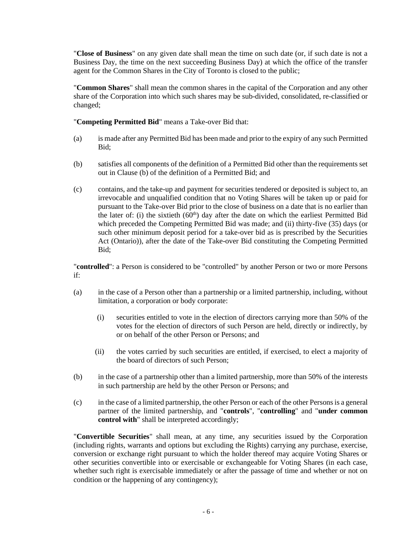"**Close of Business**" on any given date shall mean the time on such date (or, if such date is not a Business Day, the time on the next succeeding Business Day) at which the office of the transfer agent for the Common Shares in the City of Toronto is closed to the public;

"**Common Shares**" shall mean the common shares in the capital of the Corporation and any other share of the Corporation into which such shares may be sub-divided, consolidated, re-classified or changed;

"**Competing Permitted Bid**" means a Take-over Bid that:

- (a) is made after any Permitted Bid has been made and prior to the expiry of any such Permitted Bid;
- (b) satisfies all components of the definition of a Permitted Bid other than the requirements set out in Clause (b) of the definition of a Permitted Bid; and
- (c) contains, and the take-up and payment for securities tendered or deposited is subject to, an irrevocable and unqualified condition that no Voting Shares will be taken up or paid for pursuant to the Take-over Bid prior to the close of business on a date that is no earlier than the later of: (i) the sixtieth  $(60<sup>th</sup>)$  day after the date on which the earliest Permitted Bid which preceded the Competing Permitted Bid was made; and (ii) thirty-five (35) days (or such other minimum deposit period for a take-over bid as is prescribed by the Securities Act (Ontario)), after the date of the Take-over Bid constituting the Competing Permitted Bid;

"**controlled**": a Person is considered to be "controlled" by another Person or two or more Persons if:

- (a) in the case of a Person other than a partnership or a limited partnership, including, without limitation, a corporation or body corporate:
	- (i) securities entitled to vote in the election of directors carrying more than 50% of the votes for the election of directors of such Person are held, directly or indirectly, by or on behalf of the other Person or Persons; and
	- (ii) the votes carried by such securities are entitled, if exercised, to elect a majority of the board of directors of such Person;
- (b) in the case of a partnership other than a limited partnership, more than 50% of the interests in such partnership are held by the other Person or Persons; and
- (c) in the case of a limited partnership, the other Person or each of the other Persons is a general partner of the limited partnership, and "**controls**", "**controlling**" and "**under common control with**" shall be interpreted accordingly;

"**Convertible Securities**" shall mean, at any time, any securities issued by the Corporation (including rights, warrants and options but excluding the Rights) carrying any purchase, exercise, conversion or exchange right pursuant to which the holder thereof may acquire Voting Shares or other securities convertible into or exercisable or exchangeable for Voting Shares (in each case, whether such right is exercisable immediately or after the passage of time and whether or not on condition or the happening of any contingency);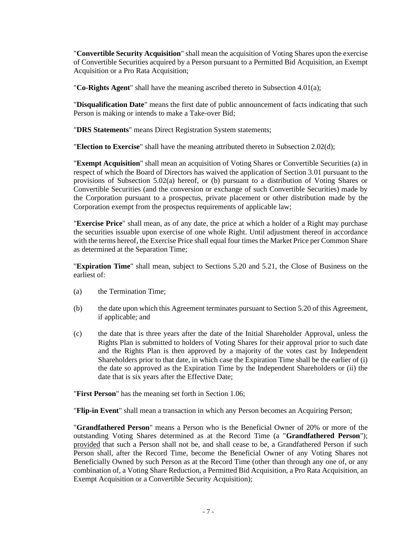"**Convertible Security Acquisition**" shall mean the acquisition of Voting Shares upon the exercise of Convertible Securities acquired by a Person pursuant to a Permitted Bid Acquisition, an Exempt Acquisition or a Pro Rata Acquisition;

"**Co-Rights Agent**" shall have the meaning ascribed thereto in Subsection 4.01(a);

"**Disqualification Date**" means the first date of public announcement of facts indicating that such Person is making or intends to make a Take-over Bid;

"**DRS Statements**" means Direct Registration System statements;

"**Election to Exercise**" shall have the meaning attributed thereto in Subsection 2.02(d);

"**Exempt Acquisition**" shall mean an acquisition of Voting Shares or Convertible Securities (a) in respect of which the Board of Directors has waived the application of Section 3.01 pursuant to the provisions of Subsection 5.02(a) hereof, or (b) pursuant to a distribution of Voting Shares or Convertible Securities (and the conversion or exchange of such Convertible Securities) made by the Corporation pursuant to a prospectus, private placement or other distribution made by the Corporation exempt from the prospectus requirements of applicable law;

"**Exercise Price**" shall mean, as of any date, the price at which a holder of a Right may purchase the securities issuable upon exercise of one whole Right. Until adjustment thereof in accordance with the terms hereof, the Exercise Price shall equal four times the Market Price per Common Share as determined at the Separation Time;

"**Expiration Time**" shall mean, subject to Sections 5.20 and 5.21, the Close of Business on the earliest of:

- (a) the Termination Time;
- (b) the date upon which this Agreement terminates pursuant to Section 5.20 of this Agreement, if applicable; and
- (c) the date that is three years after the date of the Initial Shareholder Approval, unless the Rights Plan is submitted to holders of Voting Shares for their approval prior to such date and the Rights Plan is then approved by a majority of the votes cast by Independent Shareholders prior to that date, in which case the Expiration Time shall be the earlier of (i) the date so approved as the Expiration Time by the Independent Shareholders or (ii) the date that is six years after the Effective Date;

"**First Person**" has the meaning set forth in Section 1.06;

"**Flip-in Event**" shall mean a transaction in which any Person becomes an Acquiring Person;

"**Grandfathered Person**" means a Person who is the Beneficial Owner of 20% or more of the outstanding Voting Shares determined as at the Record Time (a "**Grandfathered Person**"); provided that such a Person shall not be, and shall cease to be, a Grandfathered Person if such Person shall, after the Record Time, become the Beneficial Owner of any Voting Shares not Beneficially Owned by such Person as at the Record Time (other than through any one of, or any combination of, a Voting Share Reduction, a Permitted Bid Acquisition, a Pro Rata Acquisition, an Exempt Acquisition or a Convertible Security Acquisition);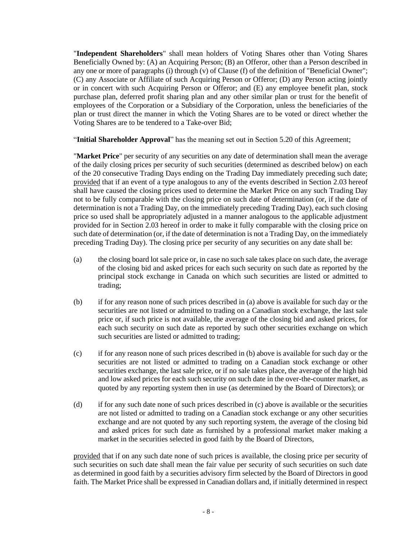"**Independent Shareholders**" shall mean holders of Voting Shares other than Voting Shares Beneficially Owned by: (A) an Acquiring Person; (B) an Offeror, other than a Person described in any one or more of paragraphs (i) through (v) of Clause (f) of the definition of "Beneficial Owner"; (C) any Associate or Affiliate of such Acquiring Person or Offeror; (D) any Person acting jointly or in concert with such Acquiring Person or Offeror; and (E) any employee benefit plan, stock purchase plan, deferred profit sharing plan and any other similar plan or trust for the benefit of employees of the Corporation or a Subsidiary of the Corporation, unless the beneficiaries of the plan or trust direct the manner in which the Voting Shares are to be voted or direct whether the Voting Shares are to be tendered to a Take-over Bid;

"**Initial Shareholder Approval**" has the meaning set out in Section 5.20 of this Agreement;

"**Market Price**" per security of any securities on any date of determination shall mean the average of the daily closing prices per security of such securities (determined as described below) on each of the 20 consecutive Trading Days ending on the Trading Day immediately preceding such date; provided that if an event of a type analogous to any of the events described in Section 2.03 hereof shall have caused the closing prices used to determine the Market Price on any such Trading Day not to be fully comparable with the closing price on such date of determination (or, if the date of determination is not a Trading Day, on the immediately preceding Trading Day), each such closing price so used shall be appropriately adjusted in a manner analogous to the applicable adjustment provided for in Section 2.03 hereof in order to make it fully comparable with the closing price on such date of determination (or, if the date of determination is not a Trading Day, on the immediately preceding Trading Day). The closing price per security of any securities on any date shall be:

- (a) the closing board lot sale price or, in case no such sale takes place on such date, the average of the closing bid and asked prices for each such security on such date as reported by the principal stock exchange in Canada on which such securities are listed or admitted to trading;
- (b) if for any reason none of such prices described in (a) above is available for such day or the securities are not listed or admitted to trading on a Canadian stock exchange, the last sale price or, if such price is not available, the average of the closing bid and asked prices, for each such security on such date as reported by such other securities exchange on which such securities are listed or admitted to trading;
- (c) if for any reason none of such prices described in (b) above is available for such day or the securities are not listed or admitted to trading on a Canadian stock exchange or other securities exchange, the last sale price, or if no sale takes place, the average of the high bid and low asked prices for each such security on such date in the over-the-counter market, as quoted by any reporting system then in use (as determined by the Board of Directors); or
- (d) if for any such date none of such prices described in (c) above is available or the securities are not listed or admitted to trading on a Canadian stock exchange or any other securities exchange and are not quoted by any such reporting system, the average of the closing bid and asked prices for such date as furnished by a professional market maker making a market in the securities selected in good faith by the Board of Directors,

provided that if on any such date none of such prices is available, the closing price per security of such securities on such date shall mean the fair value per security of such securities on such date as determined in good faith by a securities advisory firm selected by the Board of Directors in good faith. The Market Price shall be expressed in Canadian dollars and, if initially determined in respect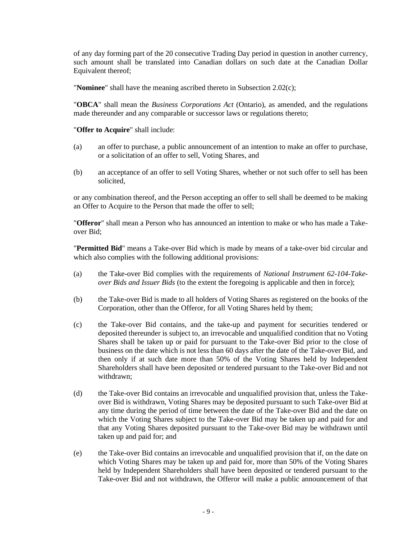of any day forming part of the 20 consecutive Trading Day period in question in another currency, such amount shall be translated into Canadian dollars on such date at the Canadian Dollar Equivalent thereof;

"**Nominee**" shall have the meaning ascribed thereto in Subsection 2.02(c);

"**OBCA**" shall mean the *Business Corporations Act* (Ontario), as amended, and the regulations made thereunder and any comparable or successor laws or regulations thereto;

#### "**Offer to Acquire**" shall include:

- (a) an offer to purchase, a public announcement of an intention to make an offer to purchase, or a solicitation of an offer to sell, Voting Shares, and
- (b) an acceptance of an offer to sell Voting Shares, whether or not such offer to sell has been solicited,

or any combination thereof, and the Person accepting an offer to sell shall be deemed to be making an Offer to Acquire to the Person that made the offer to sell;

"**Offeror**" shall mean a Person who has announced an intention to make or who has made a Takeover Bid;

"**Permitted Bid**" means a Take-over Bid which is made by means of a take-over bid circular and which also complies with the following additional provisions:

- (a) the Take-over Bid complies with the requirements of *National Instrument 62-104-Takeover Bids and Issuer Bids* (to the extent the foregoing is applicable and then in force);
- (b) the Take-over Bid is made to all holders of Voting Shares as registered on the books of the Corporation, other than the Offeror, for all Voting Shares held by them;
- (c) the Take-over Bid contains, and the take-up and payment for securities tendered or deposited thereunder is subject to, an irrevocable and unqualified condition that no Voting Shares shall be taken up or paid for pursuant to the Take-over Bid prior to the close of business on the date which is not less than 60 days after the date of the Take-over Bid, and then only if at such date more than 50% of the Voting Shares held by Independent Shareholders shall have been deposited or tendered pursuant to the Take-over Bid and not withdrawn;
- (d) the Take-over Bid contains an irrevocable and unqualified provision that, unless the Takeover Bid is withdrawn, Voting Shares may be deposited pursuant to such Take-over Bid at any time during the period of time between the date of the Take-over Bid and the date on which the Voting Shares subject to the Take-over Bid may be taken up and paid for and that any Voting Shares deposited pursuant to the Take-over Bid may be withdrawn until taken up and paid for; and
- (e) the Take-over Bid contains an irrevocable and unqualified provision that if, on the date on which Voting Shares may be taken up and paid for, more than 50% of the Voting Shares held by Independent Shareholders shall have been deposited or tendered pursuant to the Take-over Bid and not withdrawn, the Offeror will make a public announcement of that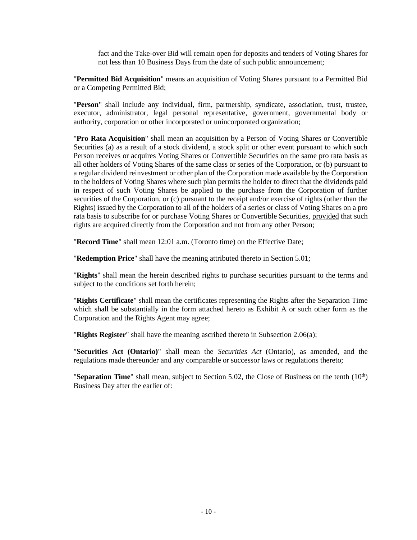fact and the Take-over Bid will remain open for deposits and tenders of Voting Shares for not less than 10 Business Days from the date of such public announcement;

"**Permitted Bid Acquisition**" means an acquisition of Voting Shares pursuant to a Permitted Bid or a Competing Permitted Bid;

"**Person**" shall include any individual, firm, partnership, syndicate, association, trust, trustee, executor, administrator, legal personal representative, government, governmental body or authority, corporation or other incorporated or unincorporated organization;

"**Pro Rata Acquisition**" shall mean an acquisition by a Person of Voting Shares or Convertible Securities (a) as a result of a stock dividend, a stock split or other event pursuant to which such Person receives or acquires Voting Shares or Convertible Securities on the same pro rata basis as all other holders of Voting Shares of the same class or series of the Corporation, or (b) pursuant to a regular dividend reinvestment or other plan of the Corporation made available by the Corporation to the holders of Voting Shares where such plan permits the holder to direct that the dividends paid in respect of such Voting Shares be applied to the purchase from the Corporation of further securities of the Corporation, or (c) pursuant to the receipt and/or exercise of rights (other than the Rights) issued by the Corporation to all of the holders of a series or class of Voting Shares on a pro rata basis to subscribe for or purchase Voting Shares or Convertible Securities, provided that such rights are acquired directly from the Corporation and not from any other Person;

"**Record Time**" shall mean 12:01 a.m. (Toronto time) on the Effective Date;

"**Redemption Price**" shall have the meaning attributed thereto in Section 5.01;

"**Rights**" shall mean the herein described rights to purchase securities pursuant to the terms and subject to the conditions set forth herein;

"**Rights Certificate**" shall mean the certificates representing the Rights after the Separation Time which shall be substantially in the form attached hereto as Exhibit A or such other form as the Corporation and the Rights Agent may agree;

"**Rights Register**" shall have the meaning ascribed thereto in Subsection 2.06(a);

"**Securities Act (Ontario)**" shall mean the *Securities Act* (Ontario), as amended, and the regulations made thereunder and any comparable or successor laws or regulations thereto;

"**Separation Time**" shall mean, subject to Section 5.02, the Close of Business on the tenth  $(10<sup>th</sup>)$ Business Day after the earlier of: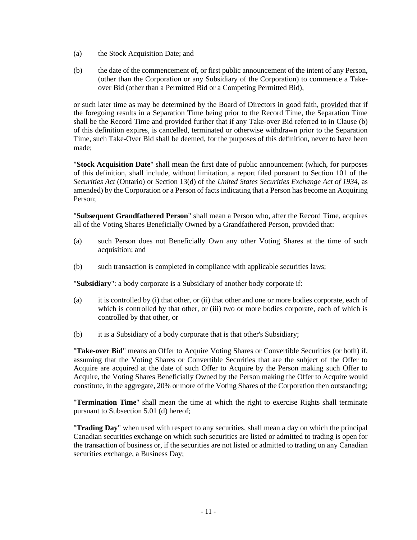- (a) the Stock Acquisition Date; and
- (b) the date of the commencement of, or first public announcement of the intent of any Person, (other than the Corporation or any Subsidiary of the Corporation) to commence a Takeover Bid (other than a Permitted Bid or a Competing Permitted Bid),

or such later time as may be determined by the Board of Directors in good faith, provided that if the foregoing results in a Separation Time being prior to the Record Time, the Separation Time shall be the Record Time and provided further that if any Take-over Bid referred to in Clause (b) of this definition expires, is cancelled, terminated or otherwise withdrawn prior to the Separation Time, such Take-Over Bid shall be deemed, for the purposes of this definition, never to have been made;

"**Stock Acquisition Date**" shall mean the first date of public announcement (which, for purposes of this definition, shall include, without limitation, a report filed pursuant to Section 101 of the *Securities Act* (Ontario) or Section 13(d) of the *United States Securities Exchange Act of 1934*, as amended) by the Corporation or a Person of facts indicating that a Person has become an Acquiring Person;

"**Subsequent Grandfathered Person**" shall mean a Person who, after the Record Time, acquires all of the Voting Shares Beneficially Owned by a Grandfathered Person, provided that:

- (a) such Person does not Beneficially Own any other Voting Shares at the time of such acquisition; and
- (b) such transaction is completed in compliance with applicable securities laws;

"**Subsidiary**": a body corporate is a Subsidiary of another body corporate if:

- (a) it is controlled by (i) that other, or (ii) that other and one or more bodies corporate, each of which is controlled by that other, or (iii) two or more bodies corporate, each of which is controlled by that other, or
- (b) it is a Subsidiary of a body corporate that is that other's Subsidiary;

"**Take-over Bid**" means an Offer to Acquire Voting Shares or Convertible Securities (or both) if, assuming that the Voting Shares or Convertible Securities that are the subject of the Offer to Acquire are acquired at the date of such Offer to Acquire by the Person making such Offer to Acquire, the Voting Shares Beneficially Owned by the Person making the Offer to Acquire would constitute, in the aggregate, 20% or more of the Voting Shares of the Corporation then outstanding;

"**Termination Time**" shall mean the time at which the right to exercise Rights shall terminate pursuant to Subsection 5.01 (d) hereof;

"**Trading Day**" when used with respect to any securities, shall mean a day on which the principal Canadian securities exchange on which such securities are listed or admitted to trading is open for the transaction of business or, if the securities are not listed or admitted to trading on any Canadian securities exchange, a Business Day;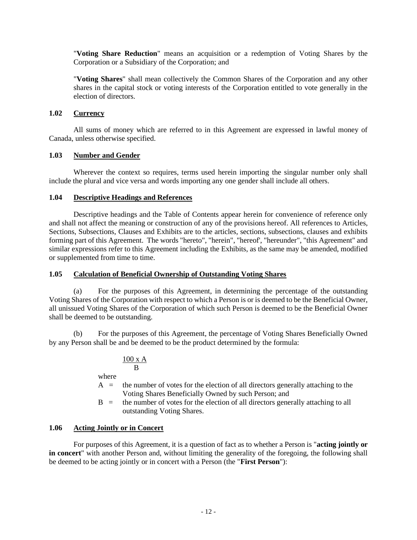"**Voting Share Reduction**" means an acquisition or a redemption of Voting Shares by the Corporation or a Subsidiary of the Corporation; and

"**Voting Shares**" shall mean collectively the Common Shares of the Corporation and any other shares in the capital stock or voting interests of the Corporation entitled to vote generally in the election of directors.

### **1.02 Currency**

All sums of money which are referred to in this Agreement are expressed in lawful money of Canada, unless otherwise specified.

### **1.03 Number and Gender**

Wherever the context so requires, terms used herein importing the singular number only shall include the plural and vice versa and words importing any one gender shall include all others.

### **1.04 Descriptive Headings and References**

Descriptive headings and the Table of Contents appear herein for convenience of reference only and shall not affect the meaning or construction of any of the provisions hereof. All references to Articles, Sections, Subsections, Clauses and Exhibits are to the articles, sections, subsections, clauses and exhibits forming part of this Agreement. The words "hereto", "herein", "hereof', "hereunder", "this Agreement" and similar expressions refer to this Agreement including the Exhibits, as the same may be amended, modified or supplemented from time to time.

### **1.05 Calculation of Beneficial Ownership of Outstanding Voting Shares**

(a) For the purposes of this Agreement, in determining the percentage of the outstanding Voting Shares of the Corporation with respect to which a Person is or is deemed to be the Beneficial Owner, all unissued Voting Shares of the Corporation of which such Person is deemed to be the Beneficial Owner shall be deemed to be outstanding.

(b) For the purposes of this Agreement, the percentage of Voting Shares Beneficially Owned by any Person shall be and be deemed to be the product determined by the formula:

### 100 x A B

where

- $A =$  the number of votes for the election of all directors generally attaching to the Voting Shares Beneficially Owned by such Person; and
- $B =$  the number of votes for the election of all directors generally attaching to all outstanding Voting Shares.

### **1.06 Acting Jointly or in Concert**

For purposes of this Agreement, it is a question of fact as to whether a Person is "**acting jointly or in concert**" with another Person and, without limiting the generality of the foregoing, the following shall be deemed to be acting jointly or in concert with a Person (the "**First Person**"):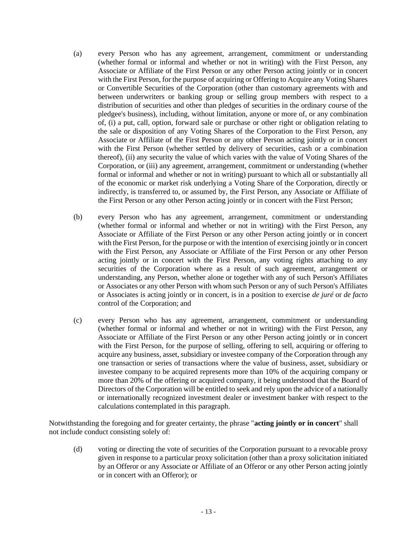- (a) every Person who has any agreement, arrangement, commitment or understanding (whether formal or informal and whether or not in writing) with the First Person, any Associate or Affiliate of the First Person or any other Person acting jointly or in concert with the First Person, for the purpose of acquiring or Offering to Acquire any Voting Shares or Convertible Securities of the Corporation (other than customary agreements with and between underwriters or banking group or selling group members with respect to a distribution of securities and other than pledges of securities in the ordinary course of the pledgee's business), including, without limitation, anyone or more of, or any combination of, (i) a put, call, option, forward sale or purchase or other right or obligation relating to the sale or disposition of any Voting Shares of the Corporation to the First Person, any Associate or Affiliate of the First Person or any other Person acting jointly or in concert with the First Person (whether settled by delivery of securities, cash or a combination thereof), (ii) any security the value of which varies with the value of Voting Shares of the Corporation, or (iii) any agreement, arrangement, commitment or understanding (whether formal or informal and whether or not in writing) pursuant to which all or substantially all of the economic or market risk underlying a Voting Share of the Corporation, directly or indirectly, is transferred to, or assumed by, the First Person, any Associate or Affiliate of the First Person or any other Person acting jointly or in concert with the First Person;
- (b) every Person who has any agreement, arrangement, commitment or understanding (whether formal or informal and whether or not in writing) with the First Person, any Associate or Affiliate of the First Person or any other Person acting jointly or in concert with the First Person, for the purpose or with the intention of exercising jointly or in concert with the First Person, any Associate or Affiliate of the First Person or any other Person acting jointly or in concert with the First Person, any voting rights attaching to any securities of the Corporation where as a result of such agreement, arrangement or understanding, any Person, whether alone or together with any of such Person's Affiliates or Associates or any other Person with whom such Person or any of such Person's Affiliates or Associates is acting jointly or in concert, is in a position to exercise *de juré* or *de facto* control of the Corporation; and
- (c) every Person who has any agreement, arrangement, commitment or understanding (whether formal or informal and whether or not in writing) with the First Person, any Associate or Affiliate of the First Person or any other Person acting jointly or in concert with the First Person, for the purpose of selling, offering to sell, acquiring or offering to acquire any business, asset, subsidiary or investee company of the Corporation through any one transaction or series of transactions where the value of business, asset, subsidiary or investee company to be acquired represents more than 10% of the acquiring company or more than 20% of the offering or acquired company, it being understood that the Board of Directors of the Corporation will be entitled to seek and rely upon the advice of a nationally or internationally recognized investment dealer or investment banker with respect to the calculations contemplated in this paragraph.

Notwithstanding the foregoing and for greater certainty, the phrase "**acting jointly or in concert**" shall not include conduct consisting solely of:

(d) voting or directing the vote of securities of the Corporation pursuant to a revocable proxy given in response to a particular proxy solicitation (other than a proxy solicitation initiated by an Offeror or any Associate or Affiliate of an Offeror or any other Person acting jointly or in concert with an Offeror); or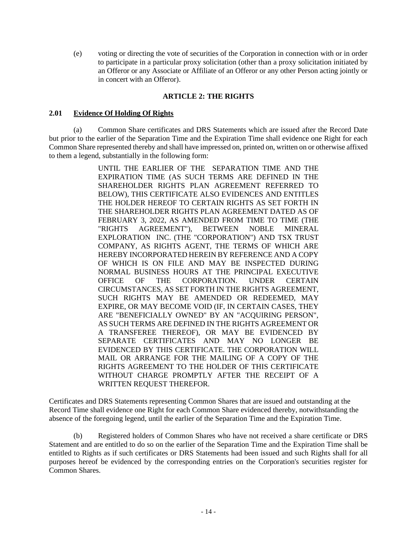(e) voting or directing the vote of securities of the Corporation in connection with or in order to participate in a particular proxy solicitation (other than a proxy solicitation initiated by an Offeror or any Associate or Affiliate of an Offeror or any other Person acting jointly or in concert with an Offeror).

### **ARTICLE 2: THE RIGHTS**

#### **2.01 Evidence Of Holding Of Rights**

(a) Common Share certificates and DRS Statements which are issued after the Record Date but prior to the earlier of the Separation Time and the Expiration Time shall evidence one Right for each Common Share represented thereby and shall have impressed on, printed on, written on or otherwise affixed to them a legend, substantially in the following form:

> UNTIL THE EARLIER OF THE SEPARATION TIME AND THE EXPIRATION TIME (AS SUCH TERMS ARE DEFINED IN THE SHAREHOLDER RIGHTS PLAN AGREEMENT REFERRED TO BELOW), THIS CERTIFICATE ALSO EVIDENCES AND ENTITLES THE HOLDER HEREOF TO CERTAIN RIGHTS AS SET FORTH IN THE SHAREHOLDER RIGHTS PLAN AGREEMENT DATED AS OF FEBRUARY 3, 2022, AS AMENDED FROM TIME TO TIME (THE "RIGHTS AGREEMENT"), BETWEEN NOBLE MINERAL EXPLORATION INC. (THE "CORPORATION") AND TSX TRUST COMPANY, AS RIGHTS AGENT, THE TERMS OF WHICH ARE HEREBY INCORPORATED HEREIN BY REFERENCE AND A COPY OF WHICH IS ON FILE AND MAY BE INSPECTED DURING NORMAL BUSINESS HOURS AT THE PRINCIPAL EXECUTIVE OFFICE OF THE CORPORATION. UNDER CERTAIN CIRCUMSTANCES, AS SET FORTH IN THE RIGHTS AGREEMENT, SUCH RIGHTS MAY BE AMENDED OR REDEEMED, MAY EXPIRE, OR MAY BECOME VOID (IF, IN CERTAIN CASES, THEY ARE "BENEFICIALLY OWNED" BY AN "ACQUIRING PERSON", AS SUCH TERMS ARE DEFINED IN THE RIGHTS AGREEMENT OR A TRANSFEREE THEREOF), OR MAY BE EVIDENCED BY SEPARATE CERTIFICATES AND MAY NO LONGER BE EVIDENCED BY THIS CERTIFICATE. THE CORPORATION WILL MAIL OR ARRANGE FOR THE MAILING OF A COPY OF THE RIGHTS AGREEMENT TO THE HOLDER OF THIS CERTIFICATE WITHOUT CHARGE PROMPTLY AFTER THE RECEIPT OF A WRITTEN REQUEST THEREFOR.

Certificates and DRS Statements representing Common Shares that are issued and outstanding at the Record Time shall evidence one Right for each Common Share evidenced thereby, notwithstanding the absence of the foregoing legend, until the earlier of the Separation Time and the Expiration Time.

(b) Registered holders of Common Shares who have not received a share certificate or DRS Statement and are entitled to do so on the earlier of the Separation Time and the Expiration Time shall be entitled to Rights as if such certificates or DRS Statements had been issued and such Rights shall for all purposes hereof be evidenced by the corresponding entries on the Corporation's securities register for Common Shares.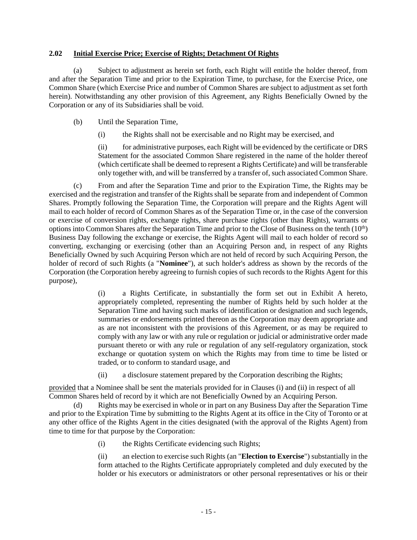### **2.02 Initial Exercise Price; Exercise of Rights; Detachment Of Rights**

(a) Subject to adjustment as herein set forth, each Right will entitle the holder thereof, from and after the Separation Time and prior to the Expiration Time, to purchase, for the Exercise Price, one Common Share (which Exercise Price and number of Common Shares are subject to adjustment as set forth herein). Notwithstanding any other provision of this Agreement, any Rights Beneficially Owned by the Corporation or any of its Subsidiaries shall be void.

- (b) Until the Separation Time,
	- (i) the Rights shall not be exercisable and no Right may be exercised, and

(ii) for administrative purposes, each Right will be evidenced by the certificate or DRS Statement for the associated Common Share registered in the name of the holder thereof (which certificate shall be deemed to represent a Rights Certificate) and will be transferable only together with, and will be transferred by a transfer of, such associated Common Share.

(c) From and after the Separation Time and prior to the Expiration Time, the Rights may be exercised and the registration and transfer of the Rights shall be separate from and independent of Common Shares. Promptly following the Separation Time, the Corporation will prepare and the Rights Agent will mail to each holder of record of Common Shares as of the Separation Time or, in the case of the conversion or exercise of conversion rights, exchange rights, share purchase rights (other than Rights), warrants or options into Common Shares after the Separation Time and prior to the Close of Business on the tenth  $(10<sup>th</sup>)$ Business Day following the exchange or exercise, the Rights Agent will mail to each holder of record so converting, exchanging or exercising (other than an Acquiring Person and, in respect of any Rights Beneficially Owned by such Acquiring Person which are not held of record by such Acquiring Person, the holder of record of such Rights (a "**Nominee**"), at such holder's address as shown by the records of the Corporation (the Corporation hereby agreeing to furnish copies of such records to the Rights Agent for this purpose),

> (i) a Rights Certificate, in substantially the form set out in Exhibit A hereto, appropriately completed, representing the number of Rights held by such holder at the Separation Time and having such marks of identification or designation and such legends, summaries or endorsements printed thereon as the Corporation may deem appropriate and as are not inconsistent with the provisions of this Agreement, or as may be required to comply with any law or with any rule or regulation or judicial or administrative order made pursuant thereto or with any rule or regulation of any self-regulatory organization, stock exchange or quotation system on which the Rights may from time to time be listed or traded, or to conform to standard usage, and

(ii) a disclosure statement prepared by the Corporation describing the Rights;

provided that a Nominee shall be sent the materials provided for in Clauses (i) and (ii) in respect of all Common Shares held of record by it which are not Beneficially Owned by an Acquiring Person.

(d) Rights may be exercised in whole or in part on any Business Day after the Separation Time and prior to the Expiration Time by submitting to the Rights Agent at its office in the City of Toronto or at any other office of the Rights Agent in the cities designated (with the approval of the Rights Agent) from time to time for that purpose by the Corporation:

- (i) the Rights Certificate evidencing such Rights;
- (ii) an election to exercise such Rights (an "**Election to Exercise**") substantially in the form attached to the Rights Certificate appropriately completed and duly executed by the holder or his executors or administrators or other personal representatives or his or their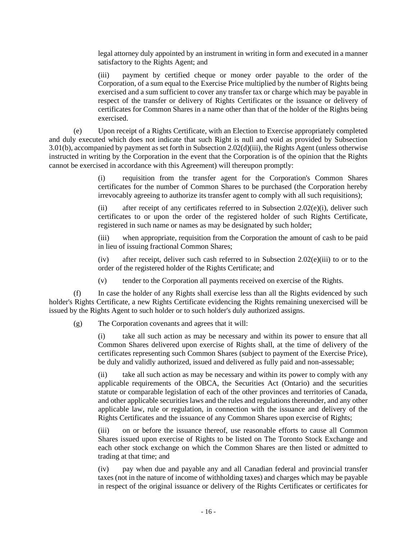legal attorney duly appointed by an instrument in writing in form and executed in a manner satisfactory to the Rights Agent; and

(iii) payment by certified cheque or money order payable to the order of the Corporation, of a sum equal to the Exercise Price multiplied by the number of Rights being exercised and a sum sufficient to cover any transfer tax or charge which may be payable in respect of the transfer or delivery of Rights Certificates or the issuance or delivery of certificates for Common Shares in a name other than that of the holder of the Rights being exercised.

(e) Upon receipt of a Rights Certificate, with an Election to Exercise appropriately completed and duly executed which does not indicate that such Right is null and void as provided by Subsection 3.01(b), accompanied by payment as set forth in Subsection 2.02(d)(iii), the Rights Agent (unless otherwise instructed in writing by the Corporation in the event that the Corporation is of the opinion that the Rights cannot be exercised in accordance with this Agreement) will thereupon promptly:

> (i) requisition from the transfer agent for the Corporation's Common Shares certificates for the number of Common Shares to be purchased (the Corporation hereby irrevocably agreeing to authorize its transfer agent to comply with all such requisitions);

> (ii) after receipt of any certificates referred to in Subsection 2.02 $(e)(i)$ , deliver such certificates to or upon the order of the registered holder of such Rights Certificate, registered in such name or names as may be designated by such holder;

> (iii) when appropriate, requisition from the Corporation the amount of cash to be paid in lieu of issuing fractional Common Shares;

> (iv) after receipt, deliver such cash referred to in Subsection  $2.02(e)$ (iii) to or to the order of the registered holder of the Rights Certificate; and

(v) tender to the Corporation all payments received on exercise of the Rights.

(f) In case the holder of any Rights shall exercise less than all the Rights evidenced by such holder's Rights Certificate, a new Rights Certificate evidencing the Rights remaining unexercised will be issued by the Rights Agent to such holder or to such holder's duly authorized assigns.

(g) The Corporation covenants and agrees that it will:

(i) take all such action as may be necessary and within its power to ensure that all Common Shares delivered upon exercise of Rights shall, at the time of delivery of the certificates representing such Common Shares (subject to payment of the Exercise Price), be duly and validly authorized, issued and delivered as fully paid and non-assessable;

(ii) take all such action as may be necessary and within its power to comply with any applicable requirements of the OBCA, the Securities Act (Ontario) and the securities statute or comparable legislation of each of the other provinces and territories of Canada, and other applicable securities laws and the rules and regulations thereunder, and any other applicable law, rule or regulation, in connection with the issuance and delivery of the Rights Certificates and the issuance of any Common Shares upon exercise of Rights;

(iii) on or before the issuance thereof, use reasonable efforts to cause all Common Shares issued upon exercise of Rights to be listed on The Toronto Stock Exchange and each other stock exchange on which the Common Shares are then listed or admitted to trading at that time; and

(iv) pay when due and payable any and all Canadian federal and provincial transfer taxes (not in the nature of income of withholding taxes) and charges which may be payable in respect of the original issuance or delivery of the Rights Certificates or certificates for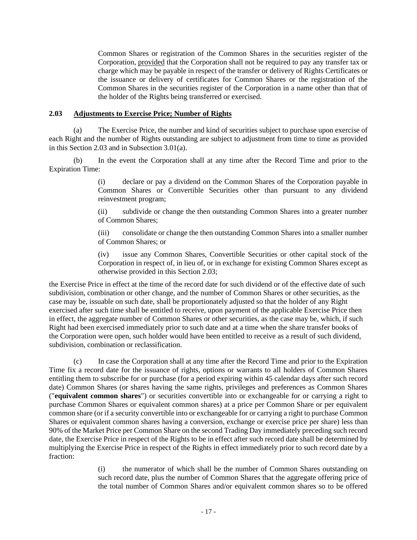Common Shares or registration of the Common Shares in the securities register of the Corporation, provided that the Corporation shall not be required to pay any transfer tax or charge which may be payable in respect of the transfer or delivery of Rights Certificates or the issuance or delivery of certificates for Common Shares or the registration of the Common Shares in the securities register of the Corporation in a name other than that of the holder of the Rights being transferred or exercised.

#### **2.03 Adjustments to Exercise Price; Number of Rights**

(a) The Exercise Price, the number and kind of securities subject to purchase upon exercise of each Right and the number of Rights outstanding are subject to adjustment from time to time as provided in this Section 2.03 and in Subsection 3.01(a).

(b) In the event the Corporation shall at any time after the Record Time and prior to the Expiration Time:

> (i) declare or pay a dividend on the Common Shares of the Corporation payable in Common Shares or Convertible Securities other than pursuant to any dividend reinvestment program;

> (ii) subdivide or change the then outstanding Common Shares into a greater number of Common Shares;

> (iii) consolidate or change the then outstanding Common Shares into a smaller number of Common Shares; or

> (iv) issue any Common Shares, Convertible Securities or other capital stock of the Corporation in respect of, in lieu of, or in exchange for existing Common Shares except as otherwise provided in this Section 2.03;

the Exercise Price in effect at the time of the record date for such dividend or of the effective date of such subdivision, combination or other change, and the number of Common Shares or other securities, as the case may be, issuable on such date, shall be proportionately adjusted so that the holder of any Right exercised after such time shall be entitled to receive, upon payment of the applicable Exercise Price then in effect, the aggregate number of Common Shares or other securities, as the case may be, which, if such Right had been exercised immediately prior to such date and at a time when the share transfer books of the Corporation were open, such holder would have been entitled to receive as a result of such dividend, subdivision, combination or reclassification.

(c) In case the Corporation shall at any time after the Record Time and prior to the Expiration Time fix a record date for the issuance of rights, options or warrants to all holders of Common Shares entitling them to subscribe for or purchase (for a period expiring within 45 calendar days after such record date) Common Shares (or shares having the same rights, privileges and preferences as Common Shares ("**equivalent common shares**") or securities convertible into or exchangeable for or carrying a right to purchase Common Shares or equivalent common shares) at a price per Common Share or per equivalent common share (or if a security convertible into or exchangeable for or carrying a right to purchase Common Shares or equivalent common shares having a conversion, exchange or exercise price per share) less than 90% of the Market Price per Common Share on the second Trading Day immediately preceding such record date, the Exercise Price in respect of the Rights to be in effect after such record date shall be determined by multiplying the Exercise Price in respect of the Rights in effect immediately prior to such record date by a fraction:

> (i) the numerator of which shall be the number of Common Shares outstanding on such record date, plus the number of Common Shares that the aggregate offering price of the total number of Common Shares and/or equivalent common shares so to be offered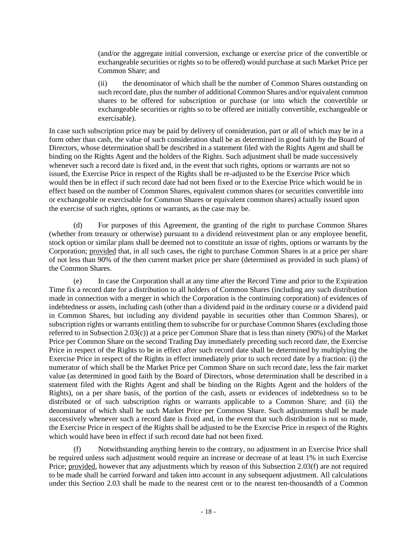(and/or the aggregate initial conversion, exchange or exercise price of the convertible or exchangeable securities or rights so to be offered) would purchase at such Market Price per Common Share; and

(ii) the denominator of which shall be the number of Common Shares outstanding on such record date, plus the number of additional Common Shares and/or equivalent common shares to be offered for subscription or purchase (or into which the convertible or exchangeable securities or rights so to be offered are initially convertible, exchangeable or exercisable).

In case such subscription price may be paid by delivery of consideration, part or all of which may be in a form other than cash, the value of such consideration shall be as determined in good faith by the Board of Directors, whose determination shall be described in a statement filed with the Rights Agent and shall be binding on the Rights Agent and the holders of the Rights. Such adjustment shall be made successively whenever such a record date is fixed and, in the event that such rights, options or warrants are not so issued, the Exercise Price in respect of the Rights shall be re-adjusted to be the Exercise Price which would then be in effect if such record date had not been fixed or to the Exercise Price which would be in effect based on the number of Common Shares, equivalent common shares (or securities convertible into or exchangeable or exercisable for Common Shares or equivalent common shares) actually issued upon the exercise of such rights, options or warrants, as the case may be.

(d) For purposes of this Agreement, the granting of the right to purchase Common Shares (whether from treasury or otherwise) pursuant to a dividend reinvestment plan or any employee benefit, stock option or similar plans shall be deemed not to constitute an issue of rights, options or warrants by the Corporation; provided that, in all such cases, the right to purchase Common Shares is at a price per share of not less than 90% of the then current market price per share (determined as provided in such plans) of the Common Shares.

(e) In case the Corporation shall at any time after the Record Time and prior to the Expiration Time fix a record date for a distribution to all holders of Common Shares (including any such distribution made in connection with a merger in which the Corporation is the continuing corporation) of evidences of indebtedness or assets, including cash (other than a dividend paid in the ordinary course or a dividend paid in Common Shares, but including any dividend payable in securities other than Common Shares), or subscription rights or warrants entitling them to subscribe for or purchase Common Shares (excluding those referred to in Subsection 2.03(c)) at a price per Common Share that is less than ninety (90%) of the Market Price per Common Share on the second Trading Day immediately preceding such record date, the Exercise Price in respect of the Rights to be in effect after such record date shall be determined by multiplying the Exercise Price in respect of the Rights in effect immediately prior to such record date by a fraction: (i) the numerator of which shall be the Market Price per Common Share on such record date, less the fair market value (as determined in good faith by the Board of Directors, whose determination shall be described in a statement filed with the Rights Agent and shall be binding on the Rights Agent and the holders of the Rights), on a per share basis, of the portion of the cash, assets or evidences of indebtedness so to be distributed or of such subscription rights or warrants applicable to a Common Share; and (ii) the denominator of which shall be such Market Price per Common Share. Such adjustments shall be made successively whenever such a record date is fixed and, in the event that such distribution is not so made, the Exercise Price in respect of the Rights shall be adjusted to be the Exercise Price in respect of the Rights which would have been in effect if such record date had not been fixed.

(f) Notwithstanding anything herein to the contrary, no adjustment in an Exercise Price shall be required unless such adjustment would require an increase or decrease of at least 1% in such Exercise Price; provided, however that any adjustments which by reason of this Subsection 2.03(f) are not required to be made shall be carried forward and taken into account in any subsequent adjustment. All calculations under this Section 2.03 shall be made to the nearest cent or to the nearest ten-thousandth of a Common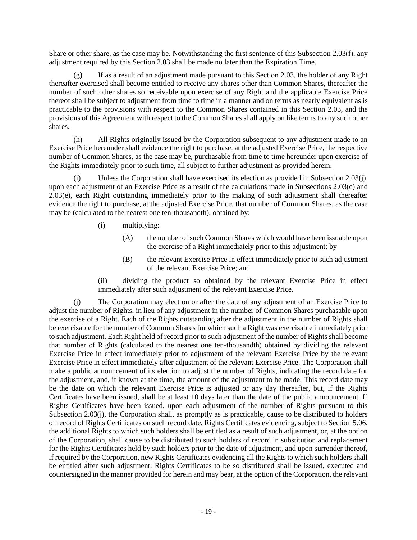Share or other share, as the case may be. Notwithstanding the first sentence of this Subsection 2.03(f), any adjustment required by this Section 2.03 shall be made no later than the Expiration Time.

(g) If as a result of an adjustment made pursuant to this Section 2.03, the holder of any Right thereafter exercised shall become entitled to receive any shares other than Common Shares, thereafter the number of such other shares so receivable upon exercise of any Right and the applicable Exercise Price thereof shall be subject to adjustment from time to time in a manner and on terms as nearly equivalent as is practicable to the provisions with respect to the Common Shares contained in this Section 2.03, and the provisions of this Agreement with respect to the Common Shares shall apply on like terms to any such other shares.

(h) All Rights originally issued by the Corporation subsequent to any adjustment made to an Exercise Price hereunder shall evidence the right to purchase, at the adjusted Exercise Price, the respective number of Common Shares, as the case may be, purchasable from time to time hereunder upon exercise of the Rights immediately prior to such time, all subject to further adjustment as provided herein.

(i) Unless the Corporation shall have exercised its election as provided in Subsection 2.03(j), upon each adjustment of an Exercise Price as a result of the calculations made in Subsections 2.03(c) and 2.03(e), each Right outstanding immediately prior to the making of such adjustment shall thereafter evidence the right to purchase, at the adjusted Exercise Price, that number of Common Shares, as the case may be (calculated to the nearest one ten-thousandth), obtained by:

- (i) multiplying:
	- (A) the number of such Common Shares which would have been issuable upon the exercise of a Right immediately prior to this adjustment; by
	- (B) the relevant Exercise Price in effect immediately prior to such adjustment of the relevant Exercise Price; and

(ii) dividing the product so obtained by the relevant Exercise Price in effect immediately after such adjustment of the relevant Exercise Price.

(j) The Corporation may elect on or after the date of any adjustment of an Exercise Price to adjust the number of Rights, in lieu of any adjustment in the number of Common Shares purchasable upon the exercise of a Right. Each of the Rights outstanding after the adjustment in the number of Rights shall be exercisable for the number of Common Shares for which such a Right was exercisable immediately prior to such adjustment. Each Right held of record prior to such adjustment of the number of Rights shall become that number of Rights (calculated to the nearest one ten-thousandth) obtained by dividing the relevant Exercise Price in effect immediately prior to adjustment of the relevant Exercise Price by the relevant Exercise Price in effect immediately after adjustment of the relevant Exercise Price. The Corporation shall make a public announcement of its election to adjust the number of Rights, indicating the record date for the adjustment, and, if known at the time, the amount of the adjustment to be made. This record date may be the date on which the relevant Exercise Price is adjusted or any day thereafter, but, if the Rights Certificates have been issued, shall be at least 10 days later than the date of the public announcement. If Rights Certificates have been issued, upon each adjustment of the number of Rights pursuant to this Subsection 2.03(j), the Corporation shall, as promptly as is practicable, cause to be distributed to holders of record of Rights Certificates on such record date, Rights Certificates evidencing, subject to Section 5.06, the additional Rights to which such holders shall be entitled as a result of such adjustment, or, at the option of the Corporation, shall cause to be distributed to such holders of record in substitution and replacement for the Rights Certificates held by such holders prior to the date of adjustment, and upon surrender thereof, if required by the Corporation, new Rights Certificates evidencing all the Rights to which such holders shall be entitled after such adjustment. Rights Certificates to be so distributed shall be issued, executed and countersigned in the manner provided for herein and may bear, at the option of the Corporation, the relevant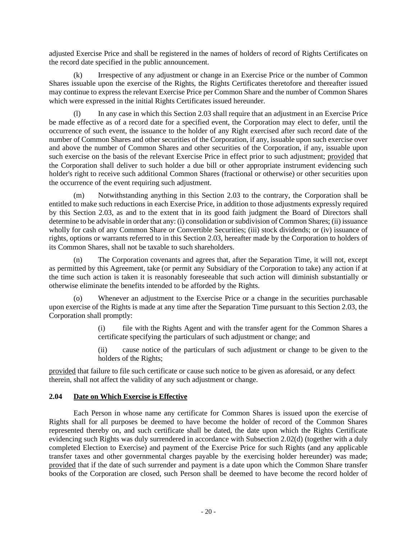adjusted Exercise Price and shall be registered in the names of holders of record of Rights Certificates on the record date specified in the public announcement.

(k) Irrespective of any adjustment or change in an Exercise Price or the number of Common Shares issuable upon the exercise of the Rights, the Rights Certificates theretofore and thereafter issued may continue to express the relevant Exercise Price per Common Share and the number of Common Shares which were expressed in the initial Rights Certificates issued hereunder.

In any case in which this Section 2.03 shall require that an adjustment in an Exercise Price be made effective as of a record date for a specified event, the Corporation may elect to defer, until the occurrence of such event, the issuance to the holder of any Right exercised after such record date of the number of Common Shares and other securities of the Corporation, if any, issuable upon such exercise over and above the number of Common Shares and other securities of the Corporation, if any, issuable upon such exercise on the basis of the relevant Exercise Price in effect prior to such adjustment; provided that the Corporation shall deliver to such holder a due bill or other appropriate instrument evidencing such holder's right to receive such additional Common Shares (fractional or otherwise) or other securities upon the occurrence of the event requiring such adjustment.

(m) Notwithstanding anything in this Section 2.03 to the contrary, the Corporation shall be entitled to make such reductions in each Exercise Price, in addition to those adjustments expressly required by this Section 2.03, as and to the extent that in its good faith judgment the Board of Directors shall determine to be advisable in order that any: (i) consolidation or subdivision of Common Shares; (ii) issuance wholly for cash of any Common Share or Convertible Securities; (iii) stock dividends; or (iv) issuance of rights, options or warrants referred to in this Section 2.03, hereafter made by the Corporation to holders of its Common Shares, shall not be taxable to such shareholders.

(n) The Corporation covenants and agrees that, after the Separation Time, it will not, except as permitted by this Agreement, take (or permit any Subsidiary of the Corporation to take) any action if at the time such action is taken it is reasonably foreseeable that such action will diminish substantially or otherwise eliminate the benefits intended to be afforded by the Rights.

(o) Whenever an adjustment to the Exercise Price or a change in the securities purchasable upon exercise of the Rights is made at any time after the Separation Time pursuant to this Section 2.03, the Corporation shall promptly:

> (i) file with the Rights Agent and with the transfer agent for the Common Shares a certificate specifying the particulars of such adjustment or change; and

> (ii) cause notice of the particulars of such adjustment or change to be given to the holders of the Rights;

provided that failure to file such certificate or cause such notice to be given as aforesaid, or any defect therein, shall not affect the validity of any such adjustment or change.

### **2.04 Date on Which Exercise is Effective**

Each Person in whose name any certificate for Common Shares is issued upon the exercise of Rights shall for all purposes be deemed to have become the holder of record of the Common Shares represented thereby on, and such certificate shall be dated, the date upon which the Rights Certificate evidencing such Rights was duly surrendered in accordance with Subsection 2.02(d) (together with a duly completed Election to Exercise) and payment of the Exercise Price for such Rights (and any applicable transfer taxes and other governmental charges payable by the exercising holder hereunder) was made; provided that if the date of such surrender and payment is a date upon which the Common Share transfer books of the Corporation are closed, such Person shall be deemed to have become the record holder of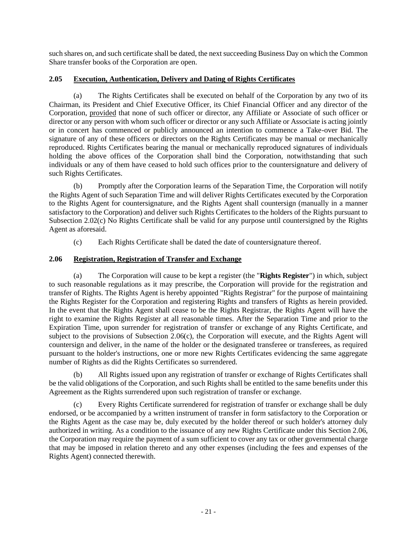such shares on, and such certificate shall be dated, the next succeeding Business Day on which the Common Share transfer books of the Corporation are open.

## **2.05 Execution, Authentication, Delivery and Dating of Rights Certificates**

(a) The Rights Certificates shall be executed on behalf of the Corporation by any two of its Chairman, its President and Chief Executive Officer, its Chief Financial Officer and any director of the Corporation, provided that none of such officer or director, any Affiliate or Associate of such officer or director or any person with whom such officer or director or any such Affiliate or Associate is acting jointly or in concert has commenced or publicly announced an intention to commence a Take-over Bid. The signature of any of these officers or directors on the Rights Certificates may be manual or mechanically reproduced. Rights Certificates bearing the manual or mechanically reproduced signatures of individuals holding the above offices of the Corporation shall bind the Corporation, notwithstanding that such individuals or any of them have ceased to hold such offices prior to the countersignature and delivery of such Rights Certificates.

(b) Promptly after the Corporation learns of the Separation Time, the Corporation will notify the Rights Agent of such Separation Time and will deliver Rights Certificates executed by the Corporation to the Rights Agent for countersignature, and the Rights Agent shall countersign (manually in a manner satisfactory to the Corporation) and deliver such Rights Certificates to the holders of the Rights pursuant to Subsection 2.02(c) No Rights Certificate shall be valid for any purpose until countersigned by the Rights Agent as aforesaid.

(c) Each Rights Certificate shall be dated the date of countersignature thereof.

# **2.06 Registration, Registration of Transfer and Exchange**

(a) The Corporation will cause to be kept a register (the "**Rights Register**") in which, subject to such reasonable regulations as it may prescribe, the Corporation will provide for the registration and transfer of Rights. The Rights Agent is hereby appointed "Rights Registrar" for the purpose of maintaining the Rights Register for the Corporation and registering Rights and transfers of Rights as herein provided. In the event that the Rights Agent shall cease to be the Rights Registrar, the Rights Agent will have the right to examine the Rights Register at all reasonable times. After the Separation Time and prior to the Expiration Time, upon surrender for registration of transfer or exchange of any Rights Certificate, and subject to the provisions of Subsection 2.06(c), the Corporation will execute, and the Rights Agent will countersign and deliver, in the name of the holder or the designated transferee or transferees, as required pursuant to the holder's instructions, one or more new Rights Certificates evidencing the same aggregate number of Rights as did the Rights Certificates so surrendered.

(b) All Rights issued upon any registration of transfer or exchange of Rights Certificates shall be the valid obligations of the Corporation, and such Rights shall be entitled to the same benefits under this Agreement as the Rights surrendered upon such registration of transfer or exchange.

(c) Every Rights Certificate surrendered for registration of transfer or exchange shall be duly endorsed, or be accompanied by a written instrument of transfer in form satisfactory to the Corporation or the Rights Agent as the case may be, duly executed by the holder thereof or such holder's attorney duly authorized in writing. As a condition to the issuance of any new Rights Certificate under this Section 2.06, the Corporation may require the payment of a sum sufficient to cover any tax or other governmental charge that may be imposed in relation thereto and any other expenses (including the fees and expenses of the Rights Agent) connected therewith.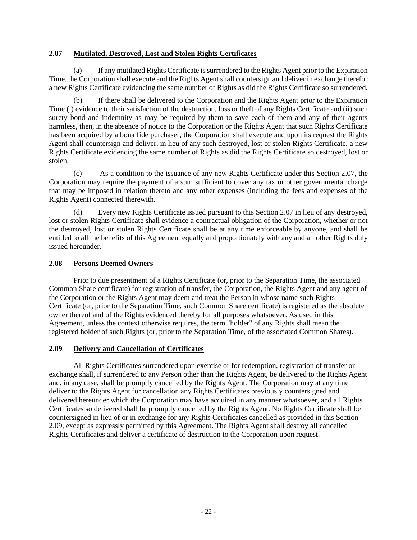### **2.07 Mutilated, Destroyed, Lost and Stolen Rights Certificates**

(a) If any mutilated Rights Certificate is surrendered to the Rights Agent prior to the Expiration Time, the Corporation shall execute and the Rights Agent shall countersign and deliver in exchange therefor a new Rights Certificate evidencing the same number of Rights as did the Rights Certificate so surrendered.

If there shall be delivered to the Corporation and the Rights Agent prior to the Expiration Time (i) evidence to their satisfaction of the destruction, loss or theft of any Rights Certificate and (ii) such surety bond and indemnity as may be required by them to save each of them and any of their agents harmless, then, in the absence of notice to the Corporation or the Rights Agent that such Rights Certificate has been acquired by a bona fide purchaser, the Corporation shall execute and upon its request the Rights Agent shall countersign and deliver, in lieu of any such destroyed, lost or stolen Rights Certificate, a new Rights Certificate evidencing the same number of Rights as did the Rights Certificate so destroyed, lost or stolen.

(c) As a condition to the issuance of any new Rights Certificate under this Section 2.07, the Corporation may require the payment of a sum sufficient to cover any tax or other governmental charge that may be imposed in relation thereto and any other expenses (including the fees and expenses of the Rights Agent) connected therewith.

Every new Rights Certificate issued pursuant to this Section 2.07 in lieu of any destroyed, lost or stolen Rights Certificate shall evidence a contractual obligation of the Corporation, whether or not the destroyed, lost or stolen Rights Certificate shall be at any time enforceable by anyone, and shall be entitled to all the benefits of this Agreement equally and proportionately with any and all other Rights duly issued hereunder.

### **2.08 Persons Deemed Owners**

Prior to due presentment of a Rights Certificate (or, prior to the Separation Time, the associated Common Share certificate) for registration of transfer, the Corporation, the Rights Agent and any agent of the Corporation or the Rights Agent may deem and treat the Person in whose name such Rights Certificate (or, prior to the Separation Time, such Common Share certificate) is registered as the absolute owner thereof and of the Rights evidenced thereby for all purposes whatsoever. As used in this Agreement, unless the context otherwise requires, the term "holder" of any Rights shall mean the registered holder of such Rights (or, prior to the Separation Time, of the associated Common Shares).

## **2.09 Delivery and Cancellation of Certificates**

All Rights Certificates surrendered upon exercise or for redemption, registration of transfer or exchange shall, if surrendered to any Person other than the Rights Agent, be delivered to the Rights Agent and, in any case, shall be promptly cancelled by the Rights Agent. The Corporation may at any time deliver to the Rights Agent for cancellation any Rights Certificates previously countersigned and delivered hereunder which the Corporation may have acquired in any manner whatsoever, and all Rights Certificates so delivered shall be promptly cancelled by the Rights Agent. No Rights Certificate shall be countersigned in lieu of or in exchange for any Rights Certificates cancelled as provided in this Section 2.09, except as expressly permitted by this Agreement. The Rights Agent shall destroy all cancelled Rights Certificates and deliver a certificate of destruction to the Corporation upon request.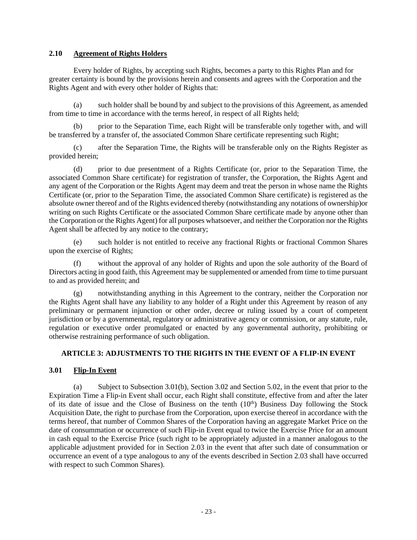### **2.10 Agreement of Rights Holders**

Every holder of Rights, by accepting such Rights, becomes a party to this Rights Plan and for greater certainty is bound by the provisions herein and consents and agrees with the Corporation and the Rights Agent and with every other holder of Rights that:

(a) such holder shall be bound by and subject to the provisions of this Agreement, as amended from time to time in accordance with the terms hereof, in respect of all Rights held;

prior to the Separation Time, each Right will be transferable only together with, and will be transferred by a transfer of, the associated Common Share certificate representing such Right;

(c) after the Separation Time, the Rights will be transferable only on the Rights Register as provided herein;

(d) prior to due presentment of a Rights Certificate (or, prior to the Separation Time, the associated Common Share certificate) for registration of transfer, the Corporation, the Rights Agent and any agent of the Corporation or the Rights Agent may deem and treat the person in whose name the Rights Certificate (or, prior to the Separation Time, the associated Common Share certificate) is registered as the absolute owner thereof and of the Rights evidenced thereby (notwithstanding any notations of ownership)or writing on such Rights Certificate or the associated Common Share certificate made by anyone other than the Corporation or the Rights Agent) for all purposes whatsoever, and neither the Corporation nor the Rights Agent shall be affected by any notice to the contrary;

(e) such holder is not entitled to receive any fractional Rights or fractional Common Shares upon the exercise of Rights;

(f) without the approval of any holder of Rights and upon the sole authority of the Board of Directors acting in good faith, this Agreement may be supplemented or amended from time to time pursuant to and as provided herein; and

notwithstanding anything in this Agreement to the contrary, neither the Corporation nor the Rights Agent shall have any liability to any holder of a Right under this Agreement by reason of any preliminary or permanent injunction or other order, decree or ruling issued by a court of competent jurisdiction or by a governmental, regulatory or administrative agency or commission, or any statute, rule, regulation or executive order promulgated or enacted by any governmental authority, prohibiting or otherwise restraining performance of such obligation.

## **ARTICLE 3: ADJUSTMENTS TO THE RIGHTS IN THE EVENT OF A FLIP-IN EVENT**

## **3.01 Flip-In Event**

(a) Subject to Subsection 3.01(b), Section 3.02 and Section 5.02, in the event that prior to the Expiration Time a Flip-in Event shall occur, each Right shall constitute, effective from and after the later of its date of issue and the Close of Business on the tenth  $(10<sup>th</sup>)$  Business Day following the Stock Acquisition Date, the right to purchase from the Corporation, upon exercise thereof in accordance with the terms hereof, that number of Common Shares of the Corporation having an aggregate Market Price on the date of consummation or occurrence of such Flip-in Event equal to twice the Exercise Price for an amount in cash equal to the Exercise Price (such right to be appropriately adjusted in a manner analogous to the applicable adjustment provided for in Section 2.03 in the event that after such date of consummation or occurrence an event of a type analogous to any of the events described in Section 2.03 shall have occurred with respect to such Common Shares).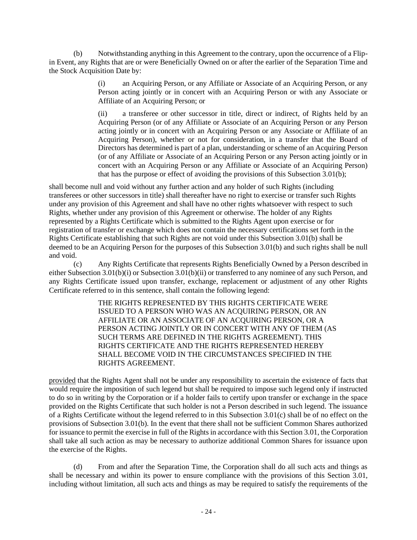(b) Notwithstanding anything in this Agreement to the contrary, upon the occurrence of a Flipin Event, any Rights that are or were Beneficially Owned on or after the earlier of the Separation Time and the Stock Acquisition Date by:

> (i) an Acquiring Person, or any Affiliate or Associate of an Acquiring Person, or any Person acting jointly or in concert with an Acquiring Person or with any Associate or Affiliate of an Acquiring Person; or

> (ii) a transferee or other successor in title, direct or indirect, of Rights held by an Acquiring Person (or of any Affiliate or Associate of an Acquiring Person or any Person acting jointly or in concert with an Acquiring Person or any Associate or Affiliate of an Acquiring Person), whether or not for consideration, in a transfer that the Board of Directors has determined is part of a plan, understanding or scheme of an Acquiring Person (or of any Affiliate or Associate of an Acquiring Person or any Person acting jointly or in concert with an Acquiring Person or any Affiliate or Associate of an Acquiring Person) that has the purpose or effect of avoiding the provisions of this Subsection 3.01(b);

shall become null and void without any further action and any holder of such Rights (including transferees or other successors in title) shall thereafter have no right to exercise or transfer such Rights under any provision of this Agreement and shall have no other rights whatsoever with respect to such Rights, whether under any provision of this Agreement or otherwise. The holder of any Rights represented by a Rights Certificate which is submitted to the Rights Agent upon exercise or for registration of transfer or exchange which does not contain the necessary certifications set forth in the Rights Certificate establishing that such Rights are not void under this Subsection 3.01(b) shall be deemed to be an Acquiring Person for the purposes of this Subsection 3.01(b) and such rights shall be null and void.

(c) Any Rights Certificate that represents Rights Beneficially Owned by a Person described in either Subsection 3.01(b)(i) or Subsection 3.01(b)(ii) or transferred to any nominee of any such Person, and any Rights Certificate issued upon transfer, exchange, replacement or adjustment of any other Rights Certificate referred to in this sentence, shall contain the following legend:

> THE RIGHTS REPRESENTED BY THIS RIGHTS CERTIFICATE WERE ISSUED TO A PERSON WHO WAS AN ACQUIRING PERSON, OR AN AFFILIATE OR AN ASSOCIATE OF AN ACQUIRING PERSON, OR A PERSON ACTING JOINTLY OR IN CONCERT WITH ANY OF THEM (AS SUCH TERMS ARE DEFINED IN THE RIGHTS AGREEMENT). THIS RIGHTS CERTIFICATE AND THE RIGHTS REPRESENTED HEREBY SHALL BECOME VOID IN THE CIRCUMSTANCES SPECIFIED IN THE RIGHTS AGREEMENT.

provided that the Rights Agent shall not be under any responsibility to ascertain the existence of facts that would require the imposition of such legend but shall be required to impose such legend only if instructed to do so in writing by the Corporation or if a holder fails to certify upon transfer or exchange in the space provided on the Rights Certificate that such holder is not a Person described in such legend. The issuance of a Rights Certificate without the legend referred to in this Subsection 3.01(c) shall be of no effect on the provisions of Subsection 3.01(b). In the event that there shall not be sufficient Common Shares authorized for issuance to permit the exercise in full of the Rights in accordance with this Section 3.01, the Corporation shall take all such action as may be necessary to authorize additional Common Shares for issuance upon the exercise of the Rights.

(d) From and after the Separation Time, the Corporation shall do all such acts and things as shall be necessary and within its power to ensure compliance with the provisions of this Section 3.01, including without limitation, all such acts and things as may be required to satisfy the requirements of the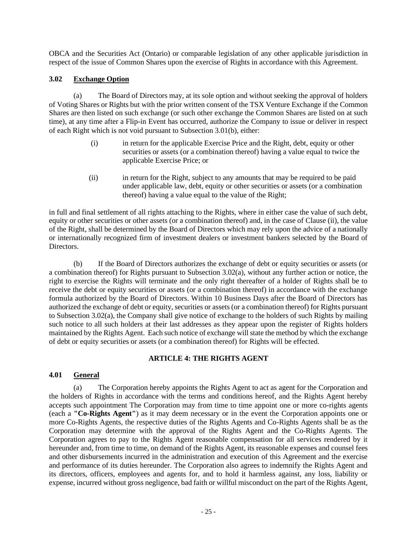OBCA and the Securities Act (Ontario) or comparable legislation of any other applicable jurisdiction in respect of the issue of Common Shares upon the exercise of Rights in accordance with this Agreement.

### **3.02 Exchange Option**

(a) The Board of Directors may, at its sole option and without seeking the approval of holders of Voting Shares or Rights but with the prior written consent of the TSX Venture Exchange if the Common Shares are then listed on such exchange (or such other exchange the Common Shares are listed on at such time), at any time after a Flip-in Event has occurred, authorize the Company to issue or deliver in respect of each Right which is not void pursuant to Subsection 3.01(b), either:

- (i) in return for the applicable Exercise Price and the Right, debt, equity or other securities or assets (or a combination thereof) having a value equal to twice the applicable Exercise Price; or
- (ii) in return for the Right, subject to any amounts that may be required to be paid under applicable law, debt, equity or other securities or assets (or a combination thereof) having a value equal to the value of the Right;

in full and final settlement of all rights attaching to the Rights, where in either case the value of such debt, equity or other securities or other assets (or a combination thereof) and, in the case of Clause (ii), the value of the Right, shall be determined by the Board of Directors which may rely upon the advice of a nationally or internationally recognized firm of investment dealers or investment bankers selected by the Board of Directors.

(b) If the Board of Directors authorizes the exchange of debt or equity securities or assets (or a combination thereof) for Rights pursuant to Subsection 3.02(a), without any further action or notice, the right to exercise the Rights will terminate and the only right thereafter of a holder of Rights shall be to receive the debt or equity securities or assets (or a combination thereof) in accordance with the exchange formula authorized by the Board of Directors. Within 10 Business Days after the Board of Directors has authorized the exchange of debt or equity, securities or assets (or a combination thereof) for Rights pursuant to Subsection 3.02(a), the Company shall give notice of exchange to the holders of such Rights by mailing such notice to all such holders at their last addresses as they appear upon the register of Rights holders maintained by the Rights Agent. Each such notice of exchange will state the method by which the exchange of debt or equity securities or assets (or a combination thereof) for Rights will be effected.

## **ARTICLE 4: THE RIGHTS AGENT**

## **4.01 General**

(a) The Corporation hereby appoints the Rights Agent to act as agent for the Corporation and the holders of Rights in accordance with the terms and conditions hereof, and the Rights Agent hereby accepts such appointment The Corporation may from time to time appoint one or more co-rights agents (each a **"Co-Rights Agent"**) as it may deem necessary or in the event the Corporation appoints one or more Co-Rights Agents, the respective duties of the Rights Agents and Co-Rights Agents shall be as the Corporation may determine with the approval of the Rights Agent and the Co-Rights Agents. The Corporation agrees to pay to the Rights Agent reasonable compensation for all services rendered by it hereunder and, from time to time, on demand of the Rights Agent, its reasonable expenses and counsel fees and other disbursements incurred in the administration and execution of this Agreement and the exercise and performance of its duties hereunder. The Corporation also agrees to indemnify the Rights Agent and its directors, officers, employees and agents for, and to hold it harmless against, any loss, liability or expense, incurred without gross negligence, bad faith or willful misconduct on the part of the Rights Agent,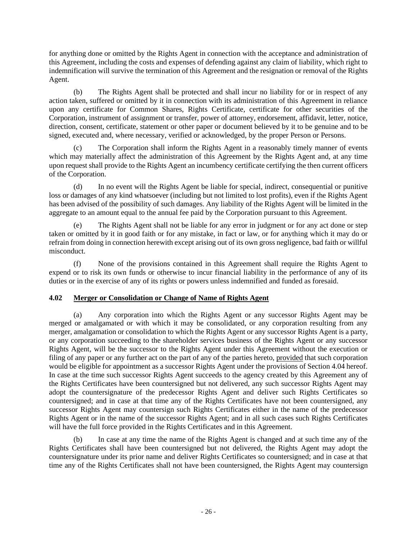for anything done or omitted by the Rights Agent in connection with the acceptance and administration of this Agreement, including the costs and expenses of defending against any claim of liability, which right to indemnification will survive the termination of this Agreement and the resignation or removal of the Rights Agent.

(b) The Rights Agent shall be protected and shall incur no liability for or in respect of any action taken, suffered or omitted by it in connection with its administration of this Agreement in reliance upon any certificate for Common Shares, Rights Certificate, certificate for other securities of the Corporation, instrument of assignment or transfer, power of attorney, endorsement, affidavit, letter, notice, direction, consent, certificate, statement or other paper or document believed by it to be genuine and to be signed, executed and, where necessary, verified or acknowledged, by the proper Person or Persons.

(c) The Corporation shall inform the Rights Agent in a reasonably timely manner of events which may materially affect the administration of this Agreement by the Rights Agent and, at any time upon request shall provide to the Rights Agent an incumbency certificate certifying the then current officers of the Corporation.

(d) In no event will the Rights Agent be liable for special, indirect, consequential or punitive loss or damages of any kind whatsoever (including but not limited to lost profits), even if the Rights Agent has been advised of the possibility of such damages. Any liability of the Rights Agent will be limited in the aggregate to an amount equal to the annual fee paid by the Corporation pursuant to this Agreement.

The Rights Agent shall not be liable for any error in judgment or for any act done or step taken or omitted by it in good faith or for any mistake, in fact or law, or for anything which it may do or refrain from doing in connection herewith except arising out of its own gross negligence, bad faith or willful misconduct.

(f) None of the provisions contained in this Agreement shall require the Rights Agent to expend or to risk its own funds or otherwise to incur financial liability in the performance of any of its duties or in the exercise of any of its rights or powers unless indemnified and funded as foresaid.

# **4.02 Merger or Consolidation or Change of Name of Rights Agent**

(a) Any corporation into which the Rights Agent or any successor Rights Agent may be merged or amalgamated or with which it may be consolidated, or any corporation resulting from any merger, amalgamation or consolidation to which the Rights Agent or any successor Rights Agent is a party, or any corporation succeeding to the shareholder services business of the Rights Agent or any successor Rights Agent, will be the successor to the Rights Agent under this Agreement without the execution or filing of any paper or any further act on the part of any of the parties hereto, provided that such corporation would be eligible for appointment as a successor Rights Agent under the provisions of Section 4.04 hereof. In case at the time such successor Rights Agent succeeds to the agency created by this Agreement any of the Rights Certificates have been countersigned but not delivered, any such successor Rights Agent may adopt the countersignature of the predecessor Rights Agent and deliver such Rights Certificates so countersigned; and in case at that time any of the Rights Certificates have not been countersigned, any successor Rights Agent may countersign such Rights Certificates either in the name of the predecessor Rights Agent or in the name of the successor Rights Agent; and in all such cases such Rights Certificates will have the full force provided in the Rights Certificates and in this Agreement.

(b) In case at any time the name of the Rights Agent is changed and at such time any of the Rights Certificates shall have been countersigned but not delivered, the Rights Agent may adopt the countersignature under its prior name and deliver Rights Certificates so countersigned; and in case at that time any of the Rights Certificates shall not have been countersigned, the Rights Agent may countersign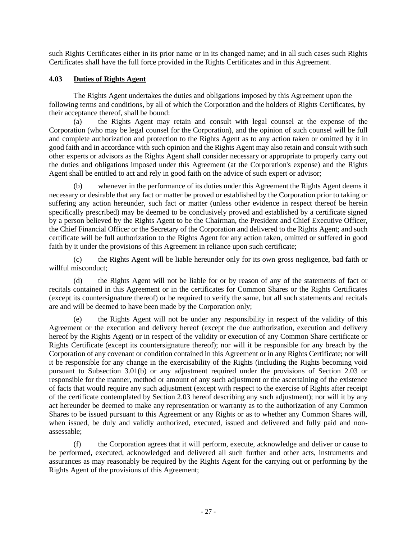such Rights Certificates either in its prior name or in its changed name; and in all such cases such Rights Certificates shall have the full force provided in the Rights Certificates and in this Agreement.

### **4.03 Duties of Rights Agent**

The Rights Agent undertakes the duties and obligations imposed by this Agreement upon the following terms and conditions, by all of which the Corporation and the holders of Rights Certificates, by their acceptance thereof, shall be bound:

(a) the Rights Agent may retain and consult with legal counsel at the expense of the Corporation (who may be legal counsel for the Corporation), and the opinion of such counsel will be full and complete authorization and protection to the Rights Agent as to any action taken or omitted by it in good faith and in accordance with such opinion and the Rights Agent may also retain and consult with such other experts or advisors as the Rights Agent shall consider necessary or appropriate to properly carry out the duties and obligations imposed under this Agreement (at the Corporation's expense) and the Rights Agent shall be entitled to act and rely in good faith on the advice of such expert or advisor;

(b) whenever in the performance of its duties under this Agreement the Rights Agent deems it necessary or desirable that any fact or matter be proved or established by the Corporation prior to taking or suffering any action hereunder, such fact or matter (unless other evidence in respect thereof be herein specifically prescribed) may be deemed to be conclusively proved and established by a certificate signed by a person believed by the Rights Agent to be the Chairman, the President and Chief Executive Officer, the Chief Financial Officer or the Secretary of the Corporation and delivered to the Rights Agent; and such certificate will be full authorization to the Rights Agent for any action taken, omitted or suffered in good faith by it under the provisions of this Agreement in reliance upon such certificate;

(c) the Rights Agent will be liable hereunder only for its own gross negligence, bad faith or willful misconduct;

(d) the Rights Agent will not be liable for or by reason of any of the statements of fact or recitals contained in this Agreement or in the certificates for Common Shares or the Rights Certificates (except its countersignature thereof) or be required to verify the same, but all such statements and recitals are and will be deemed to have been made by the Corporation only;

(e) the Rights Agent will not be under any responsibility in respect of the validity of this Agreement or the execution and delivery hereof (except the due authorization, execution and delivery hereof by the Rights Agent) or in respect of the validity or execution of any Common Share certificate or Rights Certificate (except its countersignature thereof); nor will it be responsible for any breach by the Corporation of any covenant or condition contained in this Agreement or in any Rights Certificate; nor will it be responsible for any change in the exercisability of the Rights (including the Rights becoming void pursuant to Subsection 3.01(b) or any adjustment required under the provisions of Section 2.03 or responsible for the manner, method or amount of any such adjustment or the ascertaining of the existence of facts that would require any such adjustment (except with respect to the exercise of Rights after receipt of the certificate contemplated by Section 2.03 hereof describing any such adjustment); nor will it by any act hereunder be deemed to make any representation or warranty as to the authorization of any Common Shares to be issued pursuant to this Agreement or any Rights or as to whether any Common Shares will, when issued, be duly and validly authorized, executed, issued and delivered and fully paid and nonassessable;

(f) the Corporation agrees that it will perform, execute, acknowledge and deliver or cause to be performed, executed, acknowledged and delivered all such further and other acts, instruments and assurances as may reasonably be required by the Rights Agent for the carrying out or performing by the Rights Agent of the provisions of this Agreement;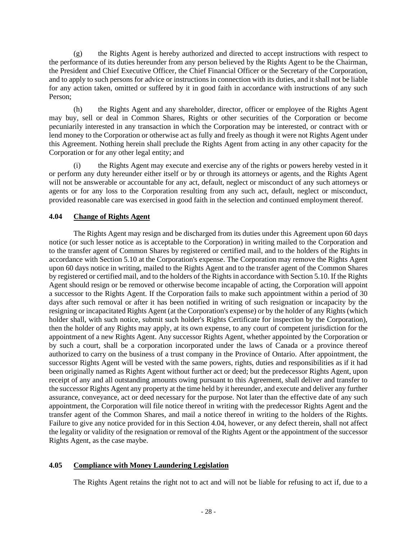(g) the Rights Agent is hereby authorized and directed to accept instructions with respect to the performance of its duties hereunder from any person believed by the Rights Agent to be the Chairman, the President and Chief Executive Officer, the Chief Financial Officer or the Secretary of the Corporation, and to apply to such persons for advice or instructions in connection with its duties, and it shall not be liable for any action taken, omitted or suffered by it in good faith in accordance with instructions of any such Person;

(h) the Rights Agent and any shareholder, director, officer or employee of the Rights Agent may buy, sell or deal in Common Shares, Rights or other securities of the Corporation or become pecuniarily interested in any transaction in which the Corporation may be interested, or contract with or lend money to the Corporation or otherwise act as fully and freely as though it were not Rights Agent under this Agreement. Nothing herein shall preclude the Rights Agent from acting in any other capacity for the Corporation or for any other legal entity; and

(i) the Rights Agent may execute and exercise any of the rights or powers hereby vested in it or perform any duty hereunder either itself or by or through its attorneys or agents, and the Rights Agent will not be answerable or accountable for any act, default, neglect or misconduct of any such attorneys or agents or for any loss to the Corporation resulting from any such act, default, neglect or misconduct, provided reasonable care was exercised in good faith in the selection and continued employment thereof.

## **4.04 Change of Rights Agent**

The Rights Agent may resign and be discharged from its duties under this Agreement upon 60 days notice (or such lesser notice as is acceptable to the Corporation) in writing mailed to the Corporation and to the transfer agent of Common Shares by registered or certified mail, and to the holders of the Rights in accordance with Section 5.10 at the Corporation's expense. The Corporation may remove the Rights Agent upon 60 days notice in writing, mailed to the Rights Agent and to the transfer agent of the Common Shares by registered or certified mail, and to the holders of the Rights in accordance with Section 5.10. If the Rights Agent should resign or be removed or otherwise become incapable of acting, the Corporation will appoint a successor to the Rights Agent. If the Corporation fails to make such appointment within a period of 30 days after such removal or after it has been notified in writing of such resignation or incapacity by the resigning or incapacitated Rights Agent (at the Corporation's expense) or by the holder of any Rights (which holder shall, with such notice, submit such holder's Rights Certificate for inspection by the Corporation), then the holder of any Rights may apply, at its own expense, to any court of competent jurisdiction for the appointment of a new Rights Agent. Any successor Rights Agent, whether appointed by the Corporation or by such a court, shall be a corporation incorporated under the laws of Canada or a province thereof authorized to carry on the business of a trust company in the Province of Ontario. After appointment, the successor Rights Agent will be vested with the same powers, rights, duties and responsibilities as if it had been originally named as Rights Agent without further act or deed; but the predecessor Rights Agent, upon receipt of any and all outstanding amounts owing pursuant to this Agreement, shall deliver and transfer to the successor Rights Agent any property at the time held by it hereunder, and execute and deliver any further assurance, conveyance, act or deed necessary for the purpose. Not later than the effective date of any such appointment, the Corporation will file notice thereof in writing with the predecessor Rights Agent and the transfer agent of the Common Shares, and mail a notice thereof in writing to the holders of the Rights. Failure to give any notice provided for in this Section 4.04, however, or any defect therein, shall not affect the legality or validity of the resignation or removal of the Rights Agent or the appointment of the successor Rights Agent, as the case maybe.

## **4.05 Compliance with Money Laundering Legislation**

The Rights Agent retains the right not to act and will not be liable for refusing to act if, due to a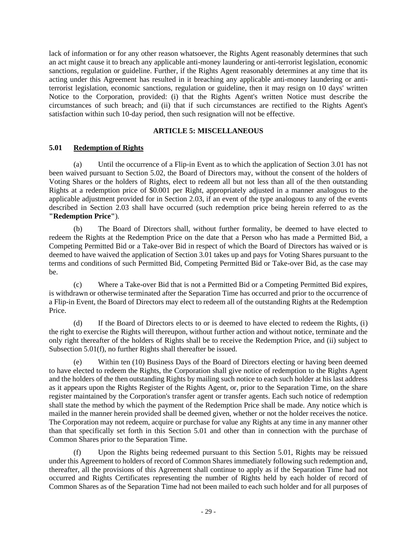lack of information or for any other reason whatsoever, the Rights Agent reasonably determines that such an act might cause it to breach any applicable anti-money laundering or anti-terrorist legislation, economic sanctions, regulation or guideline. Further, if the Rights Agent reasonably determines at any time that its acting under this Agreement has resulted in it breaching any applicable anti-money laundering or antiterrorist legislation, economic sanctions, regulation or guideline, then it may resign on 10 days' written Notice to the Corporation, provided: (i) that the Rights Agent's written Notice must describe the circumstances of such breach; and (ii) that if such circumstances are rectified to the Rights Agent's satisfaction within such 10-day period, then such resignation will not be effective.

## **ARTICLE 5: MISCELLANEOUS**

### **5.01 Redemption of Rights**

(a) Until the occurrence of a Flip-in Event as to which the application of Section 3.01 has not been waived pursuant to Section 5.02, the Board of Directors may, without the consent of the holders of Voting Shares or the holders of Rights, elect to redeem all but not less than all of the then outstanding Rights at a redemption price of \$0.001 per Right, appropriately adjusted in a manner analogous to the applicable adjustment provided for in Section 2.03, if an event of the type analogous to any of the events described in Section 2.03 shall have occurred (such redemption price being herein referred to as the **"Redemption Price"**).

(b) The Board of Directors shall, without further formality, be deemed to have elected to redeem the Rights at the Redemption Price on the date that a Person who has made a Permitted Bid, a Competing Permitted Bid or a Take-over Bid in respect of which the Board of Directors has waived or is deemed to have waived the application of Section 3.01 takes up and pays for Voting Shares pursuant to the terms and conditions of such Permitted Bid, Competing Permitted Bid or Take-over Bid, as the case may be.

(c) Where a Take-over Bid that is not a Permitted Bid or a Competing Permitted Bid expires, is withdrawn or otherwise terminated after the Separation Time has occurred and prior to the occurrence of a Flip-in Event, the Board of Directors may elect to redeem all of the outstanding Rights at the Redemption Price.

(d) If the Board of Directors elects to or is deemed to have elected to redeem the Rights, (i) the right to exercise the Rights will thereupon, without further action and without notice, terminate and the only right thereafter of the holders of Rights shall be to receive the Redemption Price, and (ii) subject to Subsection 5.01(f), no further Rights shall thereafter be issued.

(e) Within ten (10) Business Days of the Board of Directors electing or having been deemed to have elected to redeem the Rights, the Corporation shall give notice of redemption to the Rights Agent and the holders of the then outstanding Rights by mailing such notice to each such holder at his last address as it appears upon the Rights Register of the Rights Agent, or, prior to the Separation Time, on the share register maintained by the Corporation's transfer agent or transfer agents. Each such notice of redemption shall state the method by which the payment of the Redemption Price shall be made. Any notice which is mailed in the manner herein provided shall be deemed given, whether or not the holder receives the notice. The Corporation may not redeem, acquire or purchase for value any Rights at any time in any manner other than that specifically set forth in this Section 5.01 and other than in connection with the purchase of Common Shares prior to the Separation Time.

(f) Upon the Rights being redeemed pursuant to this Section 5.01, Rights may be reissued under this Agreement to holders of record of Common Shares immediately following such redemption and, thereafter, all the provisions of this Agreement shall continue to apply as if the Separation Time had not occurred and Rights Certificates representing the number of Rights held by each holder of record of Common Shares as of the Separation Time had not been mailed to each such holder and for all purposes of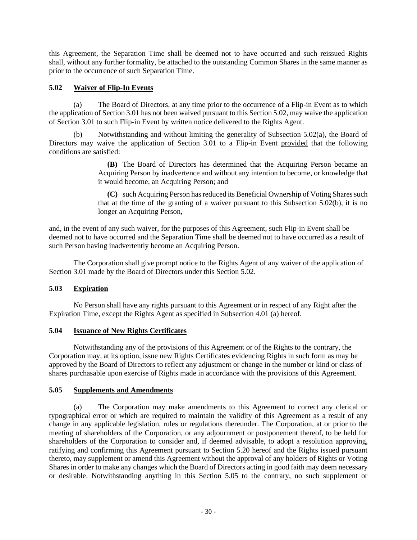this Agreement, the Separation Time shall be deemed not to have occurred and such reissued Rights shall, without any further formality, be attached to the outstanding Common Shares in the same manner as prior to the occurrence of such Separation Time.

### **5.02 Waiver of Flip-In Events**

(a) The Board of Directors, at any time prior to the occurrence of a Flip-in Event as to which the application of Section 3.01 has not been waived pursuant to this Section 5.02, may waive the application of Section 3.01 to such Flip-in Event by written notice delivered to the Rights Agent.

(b) Notwithstanding and without limiting the generality of Subsection 5.02(a), the Board of Directors may waive the application of Section 3.01 to a Flip-in Event provided that the following conditions are satisfied:

> **(B)** The Board of Directors has determined that the Acquiring Person became an Acquiring Person by inadvertence and without any intention to become, or knowledge that it would become, an Acquiring Person; and

> **(C)** such Acquiring Person has reduced its Beneficial Ownership of Voting Shares such that at the time of the granting of a waiver pursuant to this Subsection 5.02(b), it is no longer an Acquiring Person,

and, in the event of any such waiver, for the purposes of this Agreement, such Flip-in Event shall be deemed not to have occurred and the Separation Time shall be deemed not to have occurred as a result of such Person having inadvertently become an Acquiring Person.

The Corporation shall give prompt notice to the Rights Agent of any waiver of the application of Section 3.01 made by the Board of Directors under this Section 5.02.

## **5.03 Expiration**

No Person shall have any rights pursuant to this Agreement or in respect of any Right after the Expiration Time, except the Rights Agent as specified in Subsection 4.01 (a) hereof.

### **5.04 Issuance of New Rights Certificates**

Notwithstanding any of the provisions of this Agreement or of the Rights to the contrary, the Corporation may, at its option, issue new Rights Certificates evidencing Rights in such form as may be approved by the Board of Directors to reflect any adjustment or change in the number or kind or class of shares purchasable upon exercise of Rights made in accordance with the provisions of this Agreement.

### **5.05 Supplements and Amendments**

(a) The Corporation may make amendments to this Agreement to correct any clerical or typographical error or which are required to maintain the validity of this Agreement as a result of any change in any applicable legislation, rules or regulations thereunder. The Corporation, at or prior to the meeting of shareholders of the Corporation, or any adjournment or postponement thereof, to be held for shareholders of the Corporation to consider and, if deemed advisable, to adopt a resolution approving, ratifying and confirming this Agreement pursuant to Section 5.20 hereof and the Rights issued pursuant thereto, may supplement or amend this Agreement without the approval of any holders of Rights or Voting Shares in order to make any changes which the Board of Directors acting in good faith may deem necessary or desirable. Notwithstanding anything in this Section 5.05 to the contrary, no such supplement or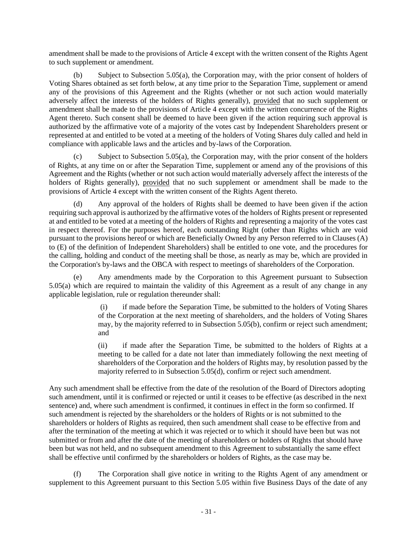amendment shall be made to the provisions of Article 4 except with the written consent of the Rights Agent to such supplement or amendment.

(b) Subject to Subsection 5.05(a), the Corporation may, with the prior consent of holders of Voting Shares obtained as set forth below, at any time prior to the Separation Time, supplement or amend any of the provisions of this Agreement and the Rights (whether or not such action would materially adversely affect the interests of the holders of Rights generally), provided that no such supplement or amendment shall be made to the provisions of Article 4 except with the written concurrence of the Rights Agent thereto. Such consent shall be deemed to have been given if the action requiring such approval is authorized by the affirmative vote of a majority of the votes cast by Independent Shareholders present or represented at and entitled to be voted at a meeting of the holders of Voting Shares duly called and held in compliance with applicable laws and the articles and by-laws of the Corporation.

(c) Subject to Subsection 5.05(a), the Corporation may, with the prior consent of the holders of Rights, at any time on or after the Separation Time, supplement or amend any of the provisions of this Agreement and the Rights (whether or not such action would materially adversely affect the interests of the holders of Rights generally), provided that no such supplement or amendment shall be made to the provisions of Article 4 except with the written consent of the Rights Agent thereto.

(d) Any approval of the holders of Rights shall be deemed to have been given if the action requiring such approval is authorized by the affirmative votes of the holders of Rights present or represented at and entitled to be voted at a meeting of the holders of Rights and representing a majority of the votes cast in respect thereof. For the purposes hereof, each outstanding Right (other than Rights which are void pursuant to the provisions hereof or which are Beneficially Owned by any Person referred to in Clauses (A) to (E) of the definition of Independent Shareholders) shall be entitled to one vote, and the procedures for the calling, holding and conduct of the meeting shall be those, as nearly as may be, which are provided in the Corporation's by-laws and the OBCA with respect to meetings of shareholders of the Corporation.

(e) Any amendments made by the Corporation to this Agreement pursuant to Subsection 5.05(a) which are required to maintain the validity of this Agreement as a result of any change in any applicable legislation, rule or regulation thereunder shall:

> (i) if made before the Separation Time, be submitted to the holders of Voting Shares of the Corporation at the next meeting of shareholders, and the holders of Voting Shares may, by the majority referred to in Subsection 5.05(b), confirm or reject such amendment; and

> (ii) if made after the Separation Time, be submitted to the holders of Rights at a meeting to be called for a date not later than immediately following the next meeting of shareholders of the Corporation and the holders of Rights may, by resolution passed by the majority referred to in Subsection 5.05(d), confirm or reject such amendment.

Any such amendment shall be effective from the date of the resolution of the Board of Directors adopting such amendment, until it is confirmed or rejected or until it ceases to be effective (as described in the next sentence) and, where such amendment is confirmed, it continues in effect in the form so confirmed. If such amendment is rejected by the shareholders or the holders of Rights or is not submitted to the shareholders or holders of Rights as required, then such amendment shall cease to be effective from and after the termination of the meeting at which it was rejected or to which it should have been but was not submitted or from and after the date of the meeting of shareholders or holders of Rights that should have been but was not held, and no subsequent amendment to this Agreement to substantially the same effect shall be effective until confirmed by the shareholders or holders of Rights, as the case may be.

(f) The Corporation shall give notice in writing to the Rights Agent of any amendment or supplement to this Agreement pursuant to this Section 5.05 within five Business Days of the date of any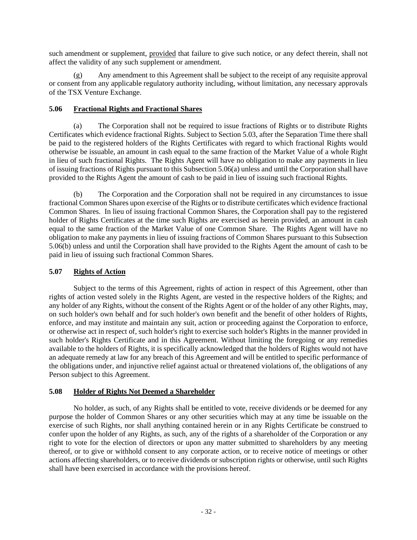such amendment or supplement, provided that failure to give such notice, or any defect therein, shall not affect the validity of any such supplement or amendment.

(g) Any amendment to this Agreement shall be subject to the receipt of any requisite approval or consent from any applicable regulatory authority including, without limitation, any necessary approvals of the TSX Venture Exchange.

### **5.06 Fractional Rights and Fractional Shares**

(a) The Corporation shall not be required to issue fractions of Rights or to distribute Rights Certificates which evidence fractional Rights. Subject to Section 5.03, after the Separation Time there shall be paid to the registered holders of the Rights Certificates with regard to which fractional Rights would otherwise be issuable, an amount in cash equal to the same fraction of the Market Value of a whole Right in lieu of such fractional Rights. The Rights Agent will have no obligation to make any payments in lieu of issuing fractions of Rights pursuant to this Subsection 5.06(a) unless and until the Corporation shall have provided to the Rights Agent the amount of cash to be paid in lieu of issuing such fractional Rights.

(b) The Corporation and the Corporation shall not be required in any circumstances to issue fractional Common Shares upon exercise of the Rights or to distribute certificates which evidence fractional Common Shares. In lieu of issuing fractional Common Shares, the Corporation shall pay to the registered holder of Rights Certificates at the time such Rights are exercised as herein provided, an amount in cash equal to the same fraction of the Market Value of one Common Share. The Rights Agent will have no obligation to make any payments in lieu of issuing fractions of Common Shares pursuant to this Subsection 5.06(b) unless and until the Corporation shall have provided to the Rights Agent the amount of cash to be paid in lieu of issuing such fractional Common Shares.

### **5.07 Rights of Action**

Subject to the terms of this Agreement, rights of action in respect of this Agreement, other than rights of action vested solely in the Rights Agent, are vested in the respective holders of the Rights; and any holder of any Rights, without the consent of the Rights Agent or of the holder of any other Rights, may, on such holder's own behalf and for such holder's own benefit and the benefit of other holders of Rights, enforce, and may institute and maintain any suit, action or proceeding against the Corporation to enforce, or otherwise act in respect of, such holder's right to exercise such holder's Rights in the manner provided in such holder's Rights Certificate and in this Agreement. Without limiting the foregoing or any remedies available to the holders of Rights, it is specifically acknowledged that the holders of Rights would not have an adequate remedy at law for any breach of this Agreement and will be entitled to specific performance of the obligations under, and injunctive relief against actual or threatened violations of, the obligations of any Person subject to this Agreement.

### **5.08 Holder of Rights Not Deemed a Shareholder**

No holder, as such, of any Rights shall be entitled to vote, receive dividends or be deemed for any purpose the holder of Common Shares or any other securities which may at any time be issuable on the exercise of such Rights, nor shall anything contained herein or in any Rights Certificate be construed to confer upon the holder of any Rights, as such, any of the rights of a shareholder of the Corporation or any right to vote for the election of directors or upon any matter submitted to shareholders by any meeting thereof, or to give or withhold consent to any corporate action, or to receive notice of meetings or other actions affecting shareholders, or to receive dividends or subscription rights or otherwise, until such Rights shall have been exercised in accordance with the provisions hereof.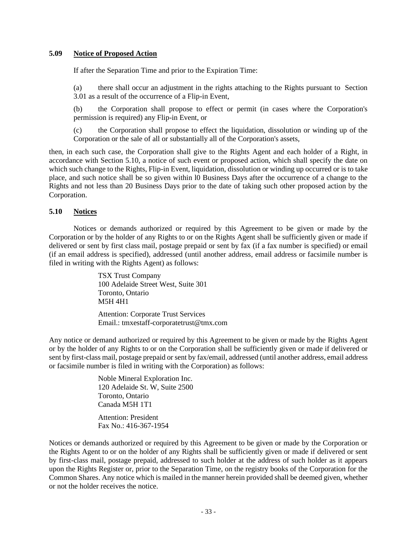#### **5.09 Notice of Proposed Action**

If after the Separation Time and prior to the Expiration Time:

(a) there shall occur an adjustment in the rights attaching to the Rights pursuant to Section 3.01 as a result of the occurrence of a Flip-in Event,

(b) the Corporation shall propose to effect or permit (in cases where the Corporation's permission is required) any Flip-in Event, or

(c) the Corporation shall propose to effect the liquidation, dissolution or winding up of the Corporation or the sale of all or substantially all of the Corporation's assets,

then, in each such case, the Corporation shall give to the Rights Agent and each holder of a Right, in accordance with Section 5.10, a notice of such event or proposed action, which shall specify the date on which such change to the Rights, Flip-in Event, liquidation, dissolution or winding up occurred or is to take place, and such notice shall be so given within l0 Business Days after the occurrence of a change to the Rights and not less than 20 Business Days prior to the date of taking such other proposed action by the Corporation.

### **5.10 Notices**

Notices or demands authorized or required by this Agreement to be given or made by the Corporation or by the holder of any Rights to or on the Rights Agent shall be sufficiently given or made if delivered or sent by first class mail, postage prepaid or sent by fax (if a fax number is specified) or email (if an email address is specified), addressed (until another address, email address or facsimile number is filed in writing with the Rights Agent) as follows:

> TSX Trust Company 100 Adelaide Street West, Suite 301 Toronto, Ontario M5H 4H1

Attention: Corporate Trust Services Email.: tmxestaff-corporatetrust@tmx.com

Any notice or demand authorized or required by this Agreement to be given or made by the Rights Agent or by the holder of any Rights to or on the Corporation shall be sufficiently given or made if delivered or sent by first-class mail, postage prepaid or sent by fax/email, addressed (until another address, email address or facsimile number is filed in writing with the Corporation) as follows:

> Noble Mineral Exploration Inc. 120 Adelaide St. W, Suite 2500 Toronto, Ontario Canada M5H 1T1

Attention: President Fax No.: 416-367-1954

Notices or demands authorized or required by this Agreement to be given or made by the Corporation or the Rights Agent to or on the holder of any Rights shall be sufficiently given or made if delivered or sent by first-class mail, postage prepaid, addressed to such holder at the address of such holder as it appears upon the Rights Register or, prior to the Separation Time, on the registry books of the Corporation for the Common Shares. Any notice which is mailed in the manner herein provided shall be deemed given, whether or not the holder receives the notice.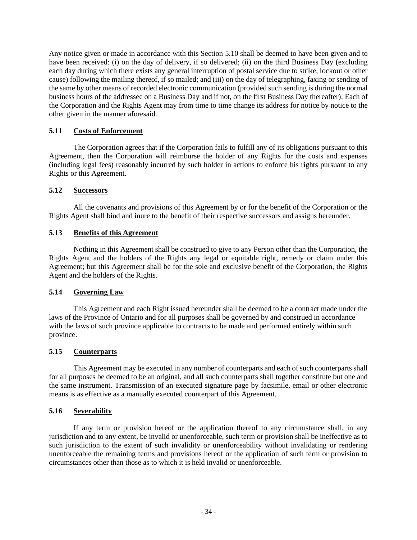Any notice given or made in accordance with this Section 5.10 shall be deemed to have been given and to have been received: (i) on the day of delivery, if so delivered; (ii) on the third Business Day (excluding each day during which there exists any general interruption of postal service due to strike, lockout or other cause) following the mailing thereof, if so mailed; and (iii) on the day of telegraphing, faxing or sending of the same by other means of recorded electronic communication (provided such sending is during the normal business hours of the addressee on a Business Day and if not, on the first Business Day thereafter). Each of the Corporation and the Rights Agent may from time to time change its address for notice by notice to the other given in the manner aforesaid.

## **5.11 Costs of Enforcement**

The Corporation agrees that if the Corporation fails to fulfill any of its obligations pursuant to this Agreement, then the Corporation will reimburse the holder of any Rights for the costs and expenses (including legal fees) reasonably incurred by such holder in actions to enforce his rights pursuant to any Rights or this Agreement.

### **5.12 Successors**

All the covenants and provisions of this Agreement by or for the benefit of the Corporation or the Rights Agent shall bind and inure to the benefit of their respective successors and assigns hereunder.

### **5.13 Benefits of this Agreement**

Nothing in this Agreement shall be construed to give to any Person other than the Corporation, the Rights Agent and the holders of the Rights any legal or equitable right, remedy or claim under this Agreement; but this Agreement shall be for the sole and exclusive benefit of the Corporation, the Rights Agent and the holders of the Rights.

## **5.14 Governing Law**

This Agreement and each Right issued hereunder shall be deemed to be a contract made under the laws of the Province of Ontario and for all purposes shall be governed by and construed in accordance with the laws of such province applicable to contracts to be made and performed entirely within such province.

## **5.15 Counterparts**

This Agreement may be executed in any number of counterparts and each of such counterparts shall for all purposes be deemed to be an original, and all such counterparts shall together constitute but one and the same instrument. Transmission of an executed signature page by facsimile, email or other electronic means is as effective as a manually executed counterpart of this Agreement.

### **5.16 Severability**

If any term or provision hereof or the application thereof to any circumstance shall, in any jurisdiction and to any extent, be invalid or unenforceable, such term or provision shall be ineffective as to such jurisdiction to the extent of such invalidity or unenforceability without invalidating or rendering unenforceable the remaining terms and provisions hereof or the application of such term or provision to circumstances other than those as to which it is held invalid or unenforceable.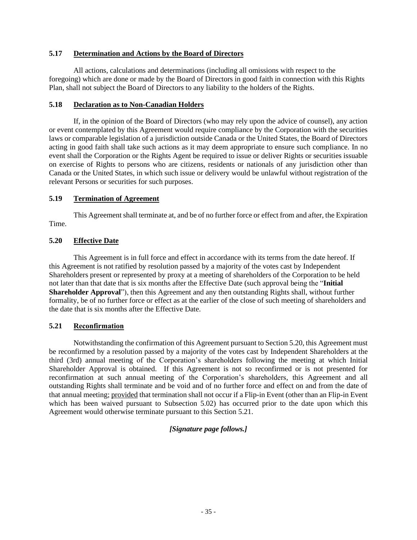### **5.17 Determination and Actions by the Board of Directors**

All actions, calculations and determinations (including all omissions with respect to the foregoing) which are done or made by the Board of Directors in good faith in connection with this Rights Plan, shall not subject the Board of Directors to any liability to the holders of the Rights.

### **5.18 Declaration as to Non-Canadian Holders**

If, in the opinion of the Board of Directors (who may rely upon the advice of counsel), any action or event contemplated by this Agreement would require compliance by the Corporation with the securities laws or comparable legislation of a jurisdiction outside Canada or the United States, the Board of Directors acting in good faith shall take such actions as it may deem appropriate to ensure such compliance. In no event shall the Corporation or the Rights Agent be required to issue or deliver Rights or securities issuable on exercise of Rights to persons who are citizens, residents or nationals of any jurisdiction other than Canada or the United States, in which such issue or delivery would be unlawful without registration of the relevant Persons or securities for such purposes.

## **5.19 Termination of Agreement**

This Agreement shall terminate at, and be of no further force or effect from and after, the Expiration Time.

## **5.20 Effective Date**

This Agreement is in full force and effect in accordance with its terms from the date hereof. If this Agreement is not ratified by resolution passed by a majority of the votes cast by Independent Shareholders present or represented by proxy at a meeting of shareholders of the Corporation to be held not later than that date that is six months after the Effective Date (such approval being the "**Initial Shareholder Approval**"), then this Agreement and any then outstanding Rights shall, without further formality, be of no further force or effect as at the earlier of the close of such meeting of shareholders and the date that is six months after the Effective Date.

## **5.21 Reconfirmation**

Notwithstanding the confirmation of this Agreement pursuant to Section 5.20, this Agreement must be reconfirmed by a resolution passed by a majority of the votes cast by Independent Shareholders at the third (3rd) annual meeting of the Corporation's shareholders following the meeting at which Initial Shareholder Approval is obtained. If this Agreement is not so reconfirmed or is not presented for reconfirmation at such annual meeting of the Corporation's shareholders, this Agreement and all outstanding Rights shall terminate and be void and of no further force and effect on and from the date of that annual meeting; provided that termination shall not occur if a Flip-in Event (other than an Flip-in Event which has been waived pursuant to Subsection 5.02) has occurred prior to the date upon which this Agreement would otherwise terminate pursuant to this Section 5.21.

## *[Signature page follows.]*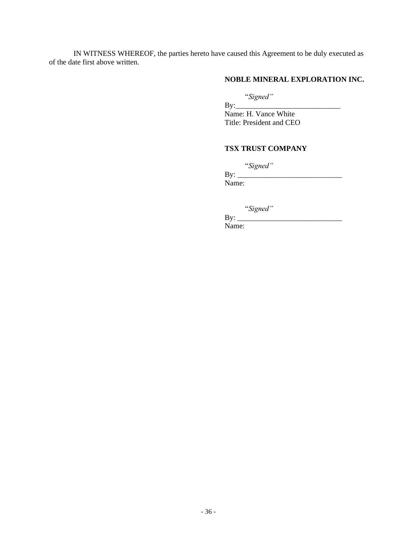IN WITNESS WHEREOF, the parties hereto have caused this Agreement to be duly executed as of the date first above written.

## **NOBLE MINERAL EXPLORATION INC.**

"*Signed"*

 $\mathbf{By:}$ Name: H. Vance White

Title: President and CEO

## **TSX TRUST COMPANY**

"*Signed"*

By:  $\frac{y}{x}$ Name:

"*Signed"*

 $\mathbf{By:}$ Name: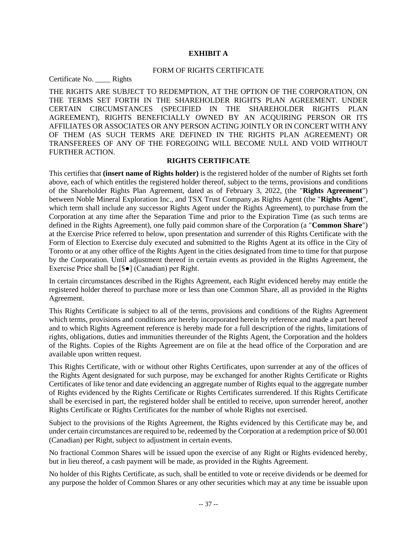#### **EXHIBIT A**

#### FORM OF RIGHTS CERTIFICATE

Certificate No. \_\_\_\_ Rights

THE RIGHTS ARE SUBJECT TO REDEMPTION, AT THE OPTION OF THE CORPORATION, ON THE TERMS SET FORTH IN THE SHAREHOLDER RIGHTS PLAN AGREEMENT. UNDER CERTAIN CIRCUMSTANCES (SPECIFIED IN THE SHAREHOLDER RIGHTS PLAN AGREEMENT), RIGHTS BENEFICIALLY OWNED BY AN ACQUIRING PERSON OR ITS AFFILIATES OR ASSOCIATES OR ANY PERSON ACTING JOINTLY OR IN CONCERT WITH ANY OF THEM (AS SUCH TERMS ARE DEFINED IN THE RIGHTS PLAN AGREEMENT) OR TRANSFEREES OF ANY OF THE FOREGOING WILL BECOME NULL AND VOID WITHOUT FURTHER ACTION.

#### **RIGHTS CERTIFICATE**

This certifies that **(insert name of Rights holder)** is the registered holder of the number of Rights set forth above, each of which entitles the registered holder thereof, subject to the terms, provisions and conditions of the Shareholder Rights Plan Agreement, dated as of February 3, 2022, (the "**Rights Agreement**") between Noble Mineral Exploration Inc., and TSX Trust Company,as Rights Agent (the "**Rights Agent**", which term shall include any successor Rights Agent under the Rights Agreement), to purchase from the Corporation at any time after the Separation Time and prior to the Expiration Time (as such terms are defined in the Rights Agreement), one fully paid common share of the Corporation (a "**Common Share**") at the Exercise Price referred to below, upon presentation and surrender of this Rights Certificate with the Form of Election to Exercise duly executed and submitted to the Rights Agent at its office in the City of Toronto or at any other office of the Rights Agent in the cities designated from time to time for that purpose by the Corporation. Until adjustment thereof in certain events as provided in the Rights Agreement, the Exercise Price shall be [\$●] (Canadian) per Right.

In certain circumstances described in the Rights Agreement, each Right evidenced hereby may entitle the registered holder thereof to purchase more or less than one Common Share, all as provided in the Rights Agreement.

This Rights Certificate is subject to all of the terms, provisions and conditions of the Rights Agreement which terms, provisions and conditions are hereby incorporated herein by reference and made a part hereof and to which Rights Agreement reference is hereby made for a full description of the rights, limitations of rights, obligations, duties and immunities thereunder of the Rights Agent, the Corporation and the holders of the Rights. Copies of the Rights Agreement are on file at the head office of the Corporation and are available upon written request.

This Rights Certificate, with or without other Rights Certificates, upon surrender at any of the offices of the Rights Agent designated for such purpose, may be exchanged for another Rights Certificate or Rights Certificates of like tenor and date evidencing an aggregate number of Rights equal to the aggregate number of Rights evidenced by the Rights Certificate or Rights Certificates surrendered. If this Rights Certificate shall be exercised in part, the registered holder shall be entitled to receive, upon surrender hereof, another Rights Certificate or Rights Certificates for the number of whole Rights not exercised.

Subject to the provisions of the Rights Agreement, the Rights evidenced by this Certificate may be, and under certain circumstances are required to be, redeemed by the Corporation at a redemption price of \$0.001 (Canadian) per Right, subject to adjustment in certain events.

No fractional Common Shares will be issued upon the exercise of any Right or Rights evidenced hereby, but in lieu thereof, a cash payment will be made, as provided in the Rights Agreement.

No holder of this Rights Certificate, as such, shall be entitled to vote or receive dividends or be deemed for any purpose the holder of Common Shares or any other securities which may at any time be issuable upon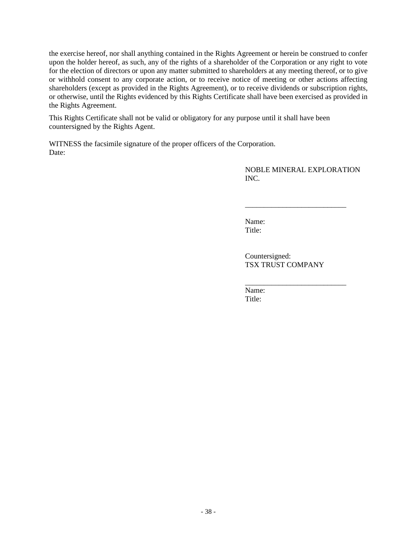the exercise hereof, nor shall anything contained in the Rights Agreement or herein be construed to confer upon the holder hereof, as such, any of the rights of a shareholder of the Corporation or any right to vote for the election of directors or upon any matter submitted to shareholders at any meeting thereof, or to give or withhold consent to any corporate action, or to receive notice of meeting or other actions affecting shareholders (except as provided in the Rights Agreement), or to receive dividends or subscription rights, or otherwise, until the Rights evidenced by this Rights Certificate shall have been exercised as provided in the Rights Agreement.

This Rights Certificate shall not be valid or obligatory for any purpose until it shall have been countersigned by the Rights Agent.

WITNESS the facsimile signature of the proper officers of the Corporation. Date:

> NOBLE MINERAL EXPLORATION INC.

\_\_\_\_\_\_\_\_\_\_\_\_\_\_\_\_\_\_\_\_\_\_\_\_\_\_\_

Name: Title:

Countersigned: TSX TRUST COMPANY

\_\_\_\_\_\_\_\_\_\_\_\_\_\_\_\_\_\_\_\_\_\_\_\_\_\_\_

Name: Title: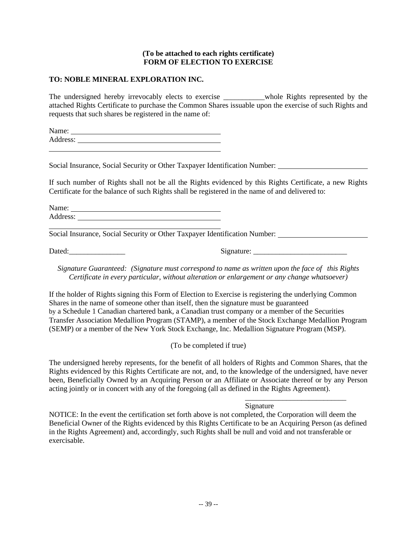### **(To be attached to each rights certificate) FORM OF ELECTION TO EXERCISE**

### **TO: NOBLE MINERAL EXPLORATION INC.**

The undersigned hereby irrevocably elects to exercise \_\_\_\_\_\_\_\_\_\_\_whole Rights represented by the attached Rights Certificate to purchase the Common Shares issuable upon the exercise of such Rights and requests that such shares be registered in the name of:

Name: Address:

Social Insurance, Social Security or Other Taxpayer Identification Number:

If such number of Rights shall not be all the Rights evidenced by this Rights Certificate, a new Rights Certificate for the balance of such Rights shall be registered in the name of and delivered to:

Name: Address:

Social Insurance, Social Security or Other Taxpayer Identification Number:

Dated: Signature:

*Signature Guaranteed: (Signature must correspond to name as written upon the face of this Rights Certificate in every particular, without alteration or enlargement or any change whatsoever)*

If the holder of Rights signing this Form of Election to Exercise is registering the underlying Common Shares in the name of someone other than itself, then the signature must be guaranteed by a Schedule 1 Canadian chartered bank, a Canadian trust company or a member of the Securities Transfer Association Medallion Program (STAMP), a member of the Stock Exchange Medallion Program (SEMP) or a member of the New York Stock Exchange, Inc. Medallion Signature Program (MSP).

(To be completed if true)

The undersigned hereby represents, for the benefit of all holders of Rights and Common Shares, that the Rights evidenced by this Rights Certificate are not, and, to the knowledge of the undersigned, have never been, Beneficially Owned by an Acquiring Person or an Affiliate or Associate thereof or by any Person acting jointly or in concert with any of the foregoing (all as defined in the Rights Agreement).

Signature

\_\_\_\_\_\_\_\_\_\_\_\_\_\_\_\_\_\_\_\_\_\_\_\_\_\_\_

NOTICE: In the event the certification set forth above is not completed, the Corporation will deem the Beneficial Owner of the Rights evidenced by this Rights Certificate to be an Acquiring Person (as defined in the Rights Agreement) and, accordingly, such Rights shall be null and void and not transferable or exercisable.